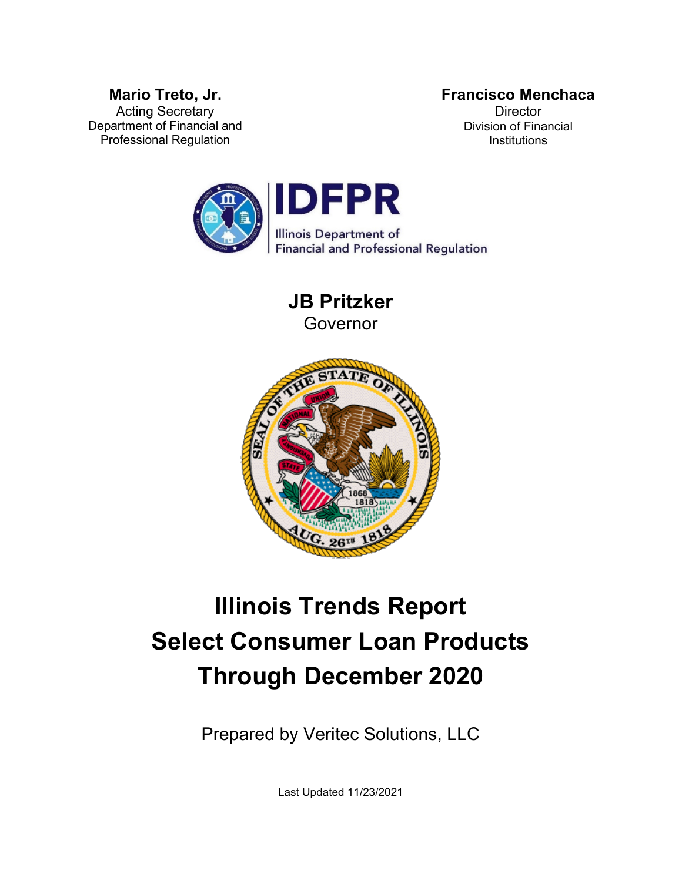### **Francisco Menchaca**

**Mario Treto, Jr.** Acting Secretary Department of Financial and Professional Regulation

**Director** Division of Financial **Institutions** 



**JB Pritzker** Governor



# **Illinois Trends Report Select Consumer Loan Products Through December 2020**

Prepared by Veritec Solutions, LLC

Last Updated 11/23/2021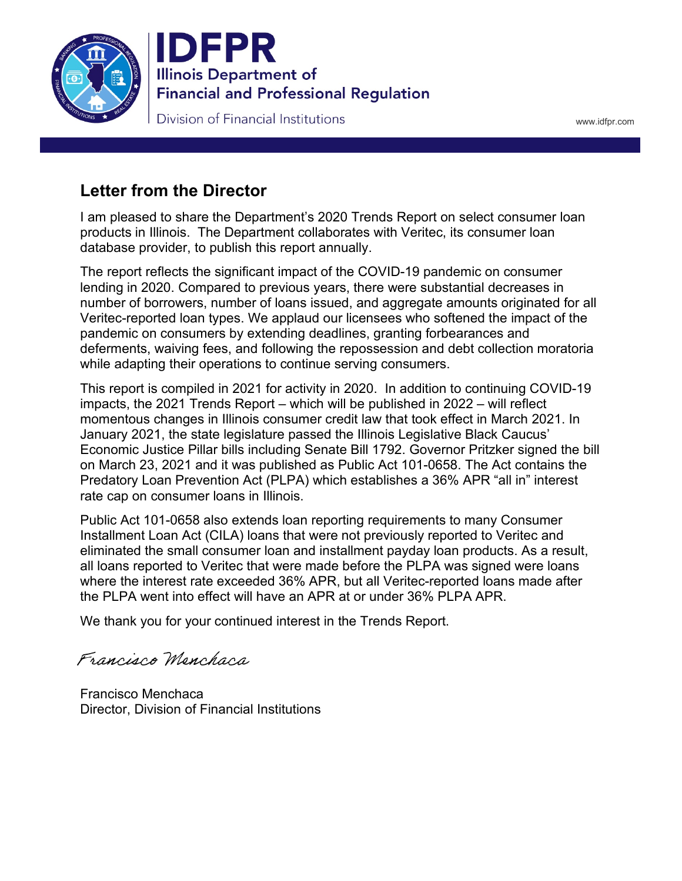



www.idfpr.com

# **Letter from the Director**

I am pleased to share the Department's 2020 Trends Report on select consumer loan products in Illinois. The Department collaborates with Veritec, its consumer loan database provider, to publish this report annually.

The report reflects the significant impact of the COVID-19 pandemic on consumer lending in 2020. Compared to previous years, there were substantial decreases in number of borrowers, number of loans issued, and aggregate amounts originated for all Veritec-reported loan types. We applaud our licensees who softened the impact of the pandemic on consumers by extending deadlines, granting forbearances and deferments, waiving fees, and following the repossession and debt collection moratoria while adapting their operations to continue serving consumers.

This report is compiled in 2021 for activity in 2020. In addition to continuing COVID-19 impacts, the 2021 Trends Report – which will be published in 2022 – will reflect momentous changes in Illinois consumer credit law that took effect in March 2021. In January 2021, the state legislature passed the Illinois Legislative Black Caucus' Economic Justice Pillar bills including Senate Bill 1792. Governor Pritzker signed the bill on March 23, 2021 and it was published as Public Act 101-0658. The Act contains the Predatory Loan Prevention Act (PLPA) which establishes a 36% APR "all in" interest rate cap on consumer loans in Illinois.

Public Act 101-0658 also extends loan reporting requirements to many Consumer Installment Loan Act (CILA) loans that were not previously reported to Veritec and eliminated the small consumer loan and installment payday loan products. As a result, all loans reported to Veritec that were made before the PLPA was signed were loans where the interest rate exceeded 36% APR, but all Veritec-reported loans made after the PLPA went into effect will have an APR at or under 36% PLPA APR.

We thank you for your continued interest in the Trends Report.

Francisco Menchaca

Francisco Menchaca Director, Division of Financial Institutions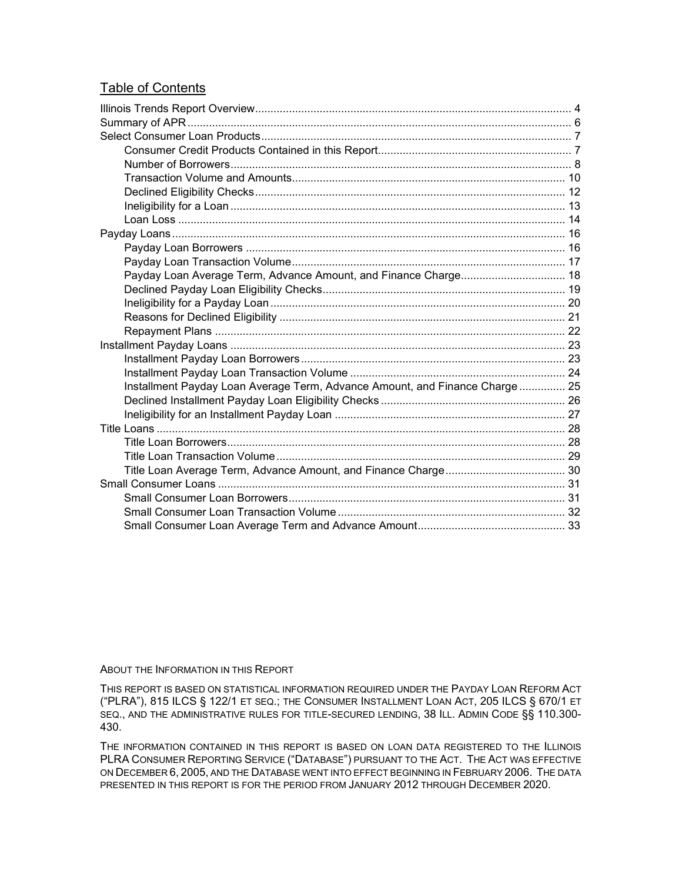#### Table of Contents

| Payday Loan Average Term, Advance Amount, and Finance Charge 18             |  |
|-----------------------------------------------------------------------------|--|
|                                                                             |  |
|                                                                             |  |
|                                                                             |  |
|                                                                             |  |
|                                                                             |  |
|                                                                             |  |
|                                                                             |  |
| Installment Payday Loan Average Term, Advance Amount, and Finance Charge 25 |  |
|                                                                             |  |
|                                                                             |  |
|                                                                             |  |
|                                                                             |  |
|                                                                             |  |
|                                                                             |  |
|                                                                             |  |
|                                                                             |  |
|                                                                             |  |
|                                                                             |  |

#### ABOUT THE INFORMATION IN THIS REPORT

THIS REPORT IS BASED ON STATISTICAL INFORMATION REQUIRED UNDER THE PAYDAY LOAN REFORM ACT ("PLRA"), 815 ILCS § 122/1 ET SEQ.; THE CONSUMER INSTALLMENT LOAN ACT, 205 ILCS § 670/1 ET SEQ., AND THE ADMINISTRATIVE RULES FOR TITLE-SECURED LENDING, 38 ILL. ADMIN CODE §§ 110.300- 430.

THE INFORMATION CONTAINED IN THIS REPORT IS BASED ON LOAN DATA REGISTERED TO THE ILLINOIS PLRA CONSUMER REPORTING SERVICE ("DATABASE") PURSUANT TO THE ACT. THE ACT WAS EFFECTIVE ON DECEMBER 6, 2005, AND THE DATABASE WENT INTO EFFECT BEGINNING IN FEBRUARY 2006. THE DATA PRESENTED IN THIS REPORT IS FOR THE PERIOD FROM JANUARY 2012 THROUGH DECEMBER 2020.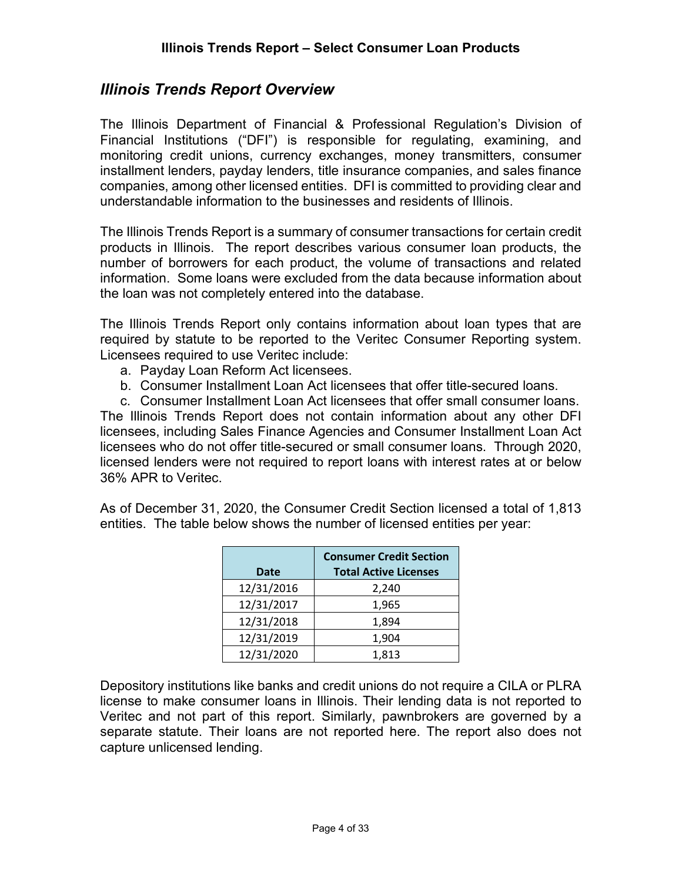## <span id="page-3-0"></span>*Illinois Trends Report Overview*

The Illinois Department of Financial & Professional Regulation's Division of Financial Institutions ("DFI") is responsible for regulating, examining, and monitoring credit unions, currency exchanges, money transmitters, consumer installment lenders, payday lenders, title insurance companies, and sales finance companies, among other licensed entities. DFI is committed to providing clear and understandable information to the businesses and residents of Illinois.

The Illinois Trends Report is a summary of consumer transactions for certain credit products in Illinois. The report describes various consumer loan products, the number of borrowers for each product, the volume of transactions and related information. Some loans were excluded from the data because information about the loan was not completely entered into the database.

The Illinois Trends Report only contains information about loan types that are required by statute to be reported to the Veritec Consumer Reporting system. Licensees required to use Veritec include:

- a. Payday Loan Reform Act licensees.
- b. Consumer Installment Loan Act licensees that offer title-secured loans.

c. Consumer Installment Loan Act licensees that offer small consumer loans. The Illinois Trends Report does not contain information about any other DFI licensees, including Sales Finance Agencies and Consumer Installment Loan Act licensees who do not offer title-secured or small consumer loans. Through 2020, licensed lenders were not required to report loans with interest rates at or below 36% APR to Veritec.

As of December 31, 2020, the Consumer Credit Section licensed a total of 1,813 entities. The table below shows the number of licensed entities per year:

|             | <b>Consumer Credit Section</b> |  |  |
|-------------|--------------------------------|--|--|
| <b>Date</b> | <b>Total Active Licenses</b>   |  |  |
| 12/31/2016  | 2,240                          |  |  |
| 12/31/2017  | 1,965                          |  |  |
| 12/31/2018  | 1,894                          |  |  |
| 12/31/2019  | 1,904                          |  |  |
| 12/31/2020  | 1,813                          |  |  |

Depository institutions like banks and credit unions do not require a CILA or PLRA license to make consumer loans in Illinois. Their lending data is not reported to Veritec and not part of this report. Similarly, pawnbrokers are governed by a separate statute. Their loans are not reported here. The report also does not capture unlicensed lending.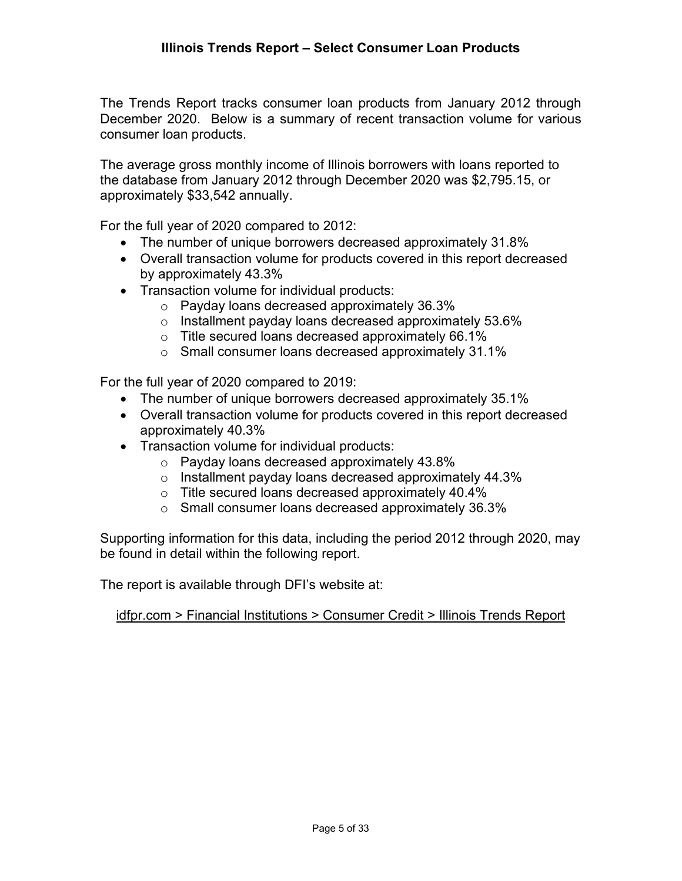The Trends Report tracks consumer loan products from January 2012 through December 2020. Below is a summary of recent transaction volume for various consumer loan products.

The average gross monthly income of Illinois borrowers with loans reported to the database from January 2012 through December 2020 was \$2,795.15, or approximately \$33,542 annually.

For the full year of 2020 compared to 2012:

- The number of unique borrowers decreased approximately 31.8%
- Overall transaction volume for products covered in this report decreased by approximately 43.3%
- Transaction volume for individual products:
	- o Payday loans decreased approximately 36.3%
	- o Installment payday loans decreased approximately 53.6%
	- o Title secured loans decreased approximately 66.1%
	- o Small consumer loans decreased approximately 31.1%

For the full year of 2020 compared to 2019:

- The number of unique borrowers decreased approximately 35.1%
- Overall transaction volume for products covered in this report decreased approximately 40.3%
- Transaction volume for individual products:
	- o Payday loans decreased approximately 43.8%
	- o Installment payday loans decreased approximately 44.3%
	- o Title secured loans decreased approximately 40.4%
	- o Small consumer loans decreased approximately 36.3%

Supporting information for this data, including the period 2012 through 2020, may be found in detail within the following report.

The report is available through DFI's website at:

idfpr.com > Financial Institutions > Consumer Credit > Illinois Trends Report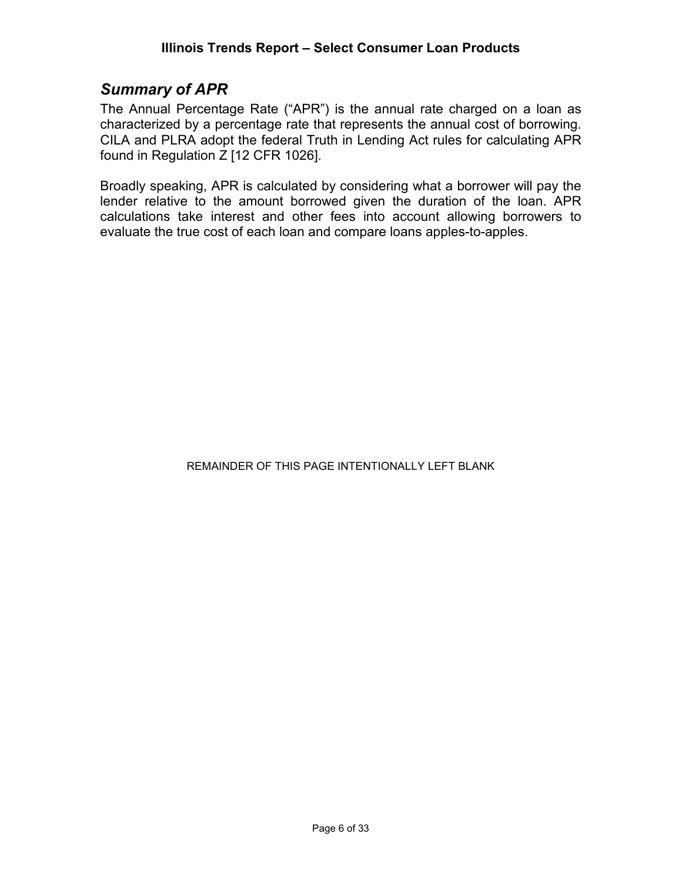## <span id="page-5-0"></span>*Summary of APR*

The Annual Percentage Rate ("APR") is the annual rate charged on a loan as characterized by a percentage rate that represents the annual cost of borrowing. CILA and PLRA adopt the federal Truth in Lending Act rules for calculating APR found in Regulation Z [12 CFR 1026].

Broadly speaking, APR is calculated by considering what a borrower will pay the lender relative to the amount borrowed given the duration of the loan. APR calculations take interest and other fees into account allowing borrowers to evaluate the true cost of each loan and compare loans apples-to-apples.

#### REMAINDER OF THIS PAGE INTENTIONALLY LEFT BLANK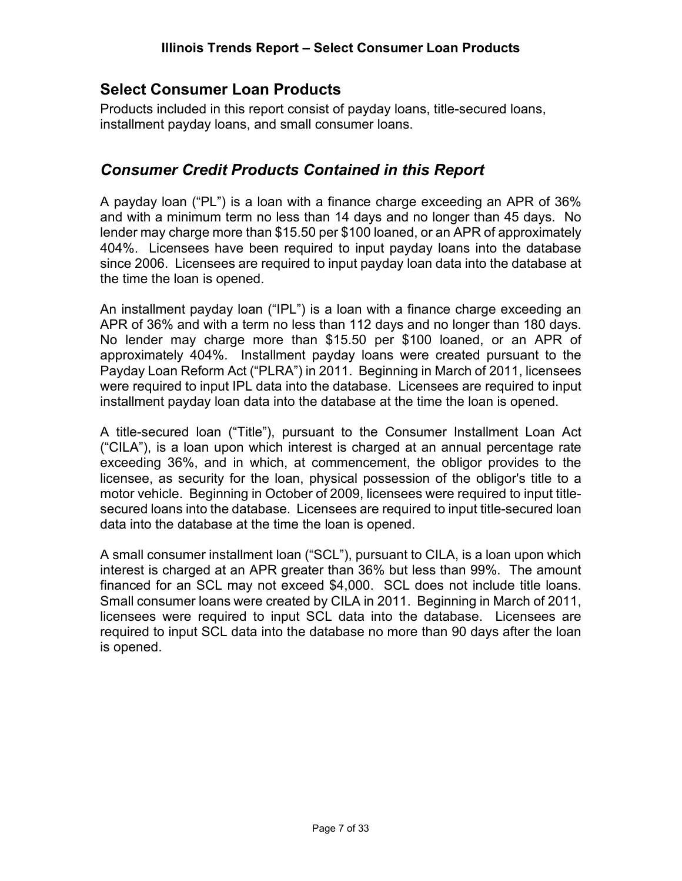# <span id="page-6-0"></span>**Select Consumer Loan Products**

Products included in this report consist of payday loans, title-secured loans, installment payday loans, and small consumer loans.

# <span id="page-6-1"></span>*Consumer Credit Products Contained in this Report*

A payday loan ("PL") is a loan with a finance charge exceeding an APR of 36% and with a minimum term no less than 14 days and no longer than 45 days. No lender may charge more than \$15.50 per \$100 loaned, or an APR of approximately 404%. Licensees have been required to input payday loans into the database since 2006. Licensees are required to input payday loan data into the database at the time the loan is opened.

An installment payday loan ("IPL") is a loan with a finance charge exceeding an APR of 36% and with a term no less than 112 days and no longer than 180 days. No lender may charge more than \$15.50 per \$100 loaned, or an APR of approximately 404%. Installment payday loans were created pursuant to the Payday Loan Reform Act ("PLRA") in 2011. Beginning in March of 2011, licensees were required to input IPL data into the database. Licensees are required to input installment payday loan data into the database at the time the loan is opened.

A title-secured loan ("Title"), pursuant to the Consumer Installment Loan Act ("CILA"), is a loan upon which interest is charged at an annual percentage rate exceeding 36%, and in which, at commencement, the obligor provides to the licensee, as security for the loan, physical possession of the obligor's title to a motor vehicle. Beginning in October of 2009, licensees were required to input titlesecured loans into the database. Licensees are required to input title-secured loan data into the database at the time the loan is opened.

A small consumer installment loan ("SCL"), pursuant to CILA, is a loan upon which interest is charged at an APR greater than 36% but less than 99%. The amount financed for an SCL may not exceed \$4,000. SCL does not include title loans. Small consumer loans were created by CILA in 2011. Beginning in March of 2011, licensees were required to input SCL data into the database. Licensees are required to input SCL data into the database no more than 90 days after the loan is opened.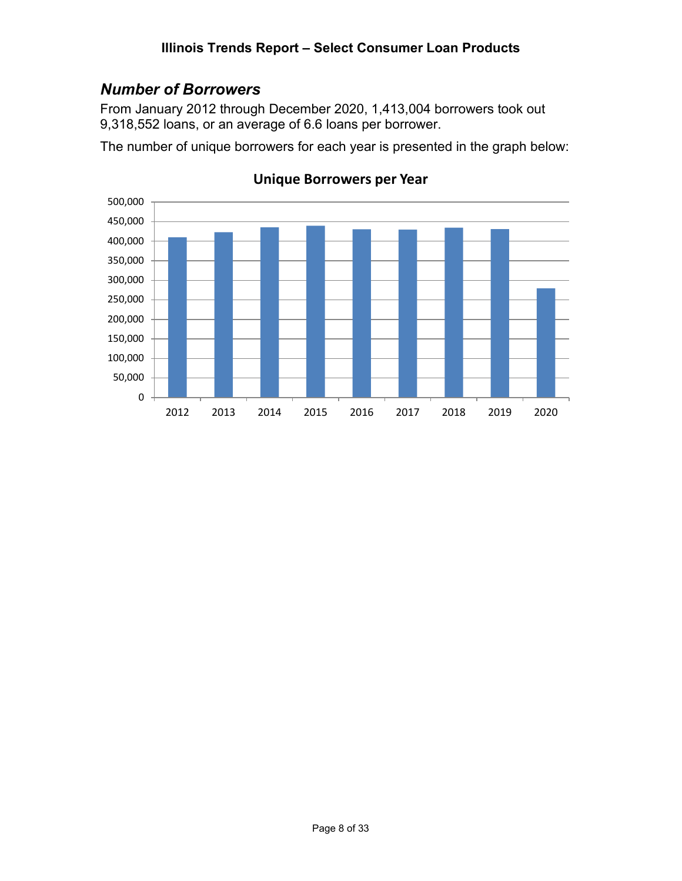# <span id="page-7-0"></span>*Number of Borrowers*

From January 2012 through December 2020, 1,413,004 borrowers took out 9,318,552 loans, or an average of 6.6 loans per borrower.

The number of unique borrowers for each year is presented in the graph below:



#### **Unique Borrowers per Year**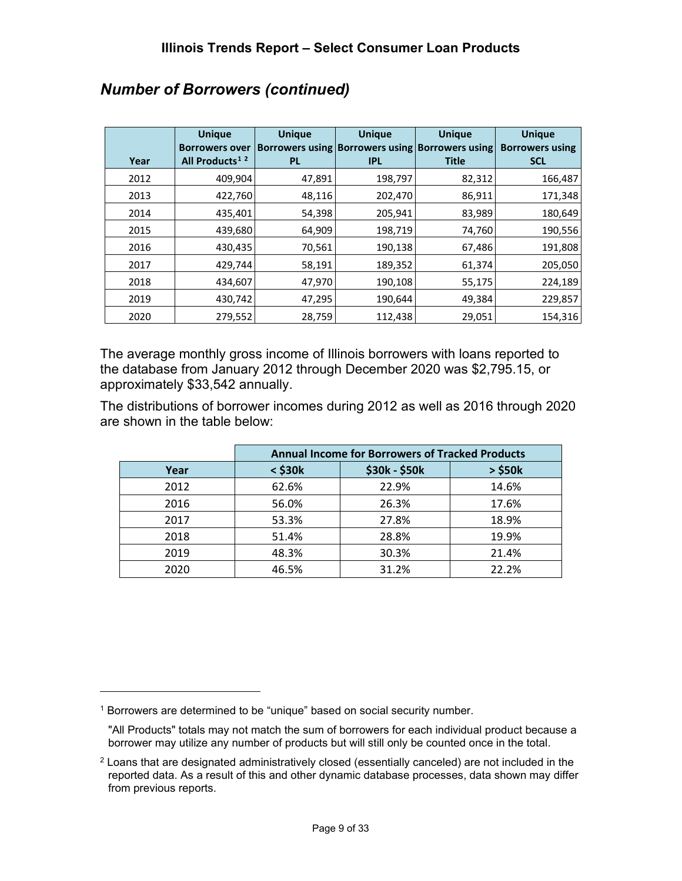| Year | <b>Unique</b><br><b>Borrowers over</b><br>All Products <sup>1</sup> <sup>2</sup> | <b>Unique</b><br><b>PL</b> | <b>Unique</b><br><b>IPL</b> | <b>Unique</b><br>Borrowers using Borrowers using Borrowers using<br><b>Title</b> | <b>Unique</b><br><b>Borrowers using</b><br><b>SCL</b> |
|------|----------------------------------------------------------------------------------|----------------------------|-----------------------------|----------------------------------------------------------------------------------|-------------------------------------------------------|
| 2012 | 409,904                                                                          | 47,891                     | 198,797                     | 82,312                                                                           | 166,487                                               |
| 2013 | 422,760                                                                          | 48,116                     | 202,470                     | 86,911                                                                           | 171,348                                               |
| 2014 | 435,401                                                                          | 54,398                     | 205,941                     | 83,989                                                                           | 180,649                                               |
| 2015 | 439,680                                                                          | 64,909                     | 198,719                     | 74,760                                                                           | 190,556                                               |
| 2016 | 430,435                                                                          | 70,561                     | 190,138                     | 67,486                                                                           | 191,808                                               |
| 2017 | 429,744                                                                          | 58,191                     | 189,352                     | 61,374                                                                           | 205,050                                               |
| 2018 | 434,607                                                                          | 47,970                     | 190,108                     | 55,175                                                                           | 224,189                                               |
| 2019 | 430,742                                                                          | 47,295                     | 190,644                     | 49,384                                                                           | 229,857                                               |
| 2020 | 279,552                                                                          | 28,759                     | 112,438                     | 29,051                                                                           | 154,316                                               |

# *Number of Borrowers (continued)*

The average monthly gross income of Illinois borrowers with loans reported to the database from January 2012 through December 2020 was \$2,795.15, or approximately \$33,542 annually.

The distributions of borrower incomes during 2012 as well as 2016 through 2020 are shown in the table below:

|      | <b>Annual Income for Borrowers of Tracked Products</b> |               |              |  |  |
|------|--------------------------------------------------------|---------------|--------------|--|--|
| Year | $<$ \$30 $k$                                           | \$30k - \$50k | $>$ \$50 $k$ |  |  |
| 2012 | 62.6%                                                  | 22.9%         | 14.6%        |  |  |
| 2016 | 56.0%                                                  | 26.3%         | 17.6%        |  |  |
| 2017 | 53.3%                                                  | 27.8%         | 18.9%        |  |  |
| 2018 | 51.4%                                                  | 28.8%         | 19.9%        |  |  |
| 2019 | 48.3%                                                  | 30.3%         | 21.4%        |  |  |
| 2020 | 46.5%                                                  | 31.2%         | 22.2%        |  |  |

<span id="page-8-0"></span><sup>&</sup>lt;sup>1</sup> Borrowers are determined to be "unique" based on social security number.

<sup>&</sup>quot;All Products" totals may not match the sum of borrowers for each individual product because a borrower may utilize any number of products but will still only be counted once in the total.

<span id="page-8-1"></span><sup>2</sup> Loans that are designated administratively closed (essentially canceled) are not included in the reported data. As a result of this and other dynamic database processes, data shown may differ from previous reports.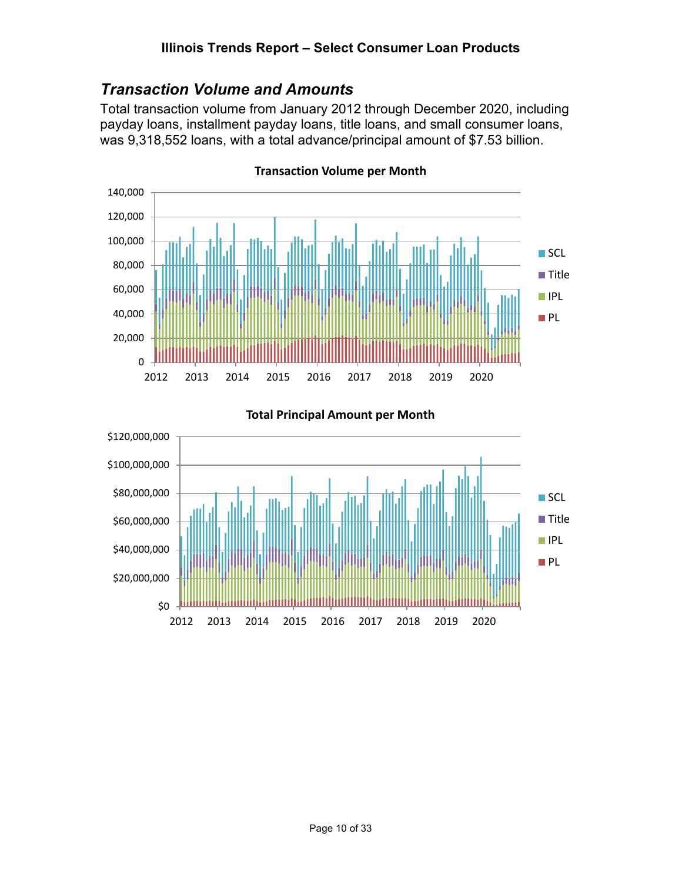# <span id="page-9-0"></span>*Transaction Volume and Amounts*

Total transaction volume from January 2012 through December 2020, including payday loans, installment payday loans, title loans, and small consumer loans, was 9,318,552 loans, with a total advance/principal amount of \$7.53 billion.



**Transaction Volume per Month**

## \$0 \$20,000,000 \$40,000,000 \$60,000,000 \$80,000,000 \$100,000,000 \$120,000,000 2012 2013 2014 2015 2016 2017 2018 2019 2020  $\square$  SCL **■** Title **IPL PL**

**Total Principal Amount per Month**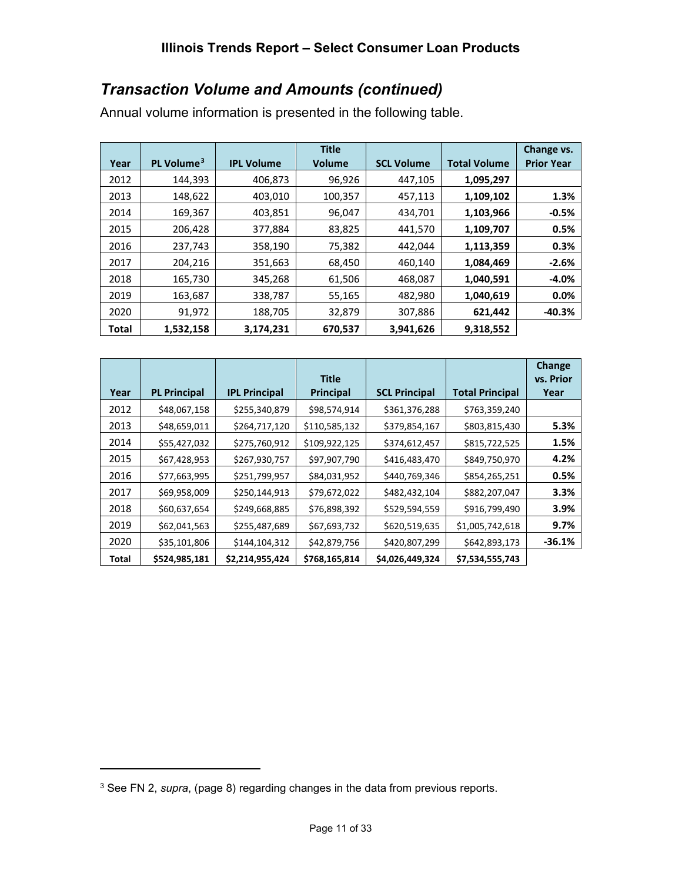# *Transaction Volume and Amounts (continued)*

Annual volume information is presented in the following table.

|       |                        |                   | <b>Title</b>  |                   |                     | Change vs.        |
|-------|------------------------|-------------------|---------------|-------------------|---------------------|-------------------|
| Year  | PL Volume <sup>3</sup> | <b>IPL Volume</b> | <b>Volume</b> | <b>SCL Volume</b> | <b>Total Volume</b> | <b>Prior Year</b> |
| 2012  | 144,393                | 406,873           | 96,926        | 447,105           | 1,095,297           |                   |
| 2013  | 148,622                | 403,010           | 100,357       | 457,113           | 1,109,102           | 1.3%              |
| 2014  | 169,367                | 403,851           | 96,047        | 434,701           | 1,103,966           | $-0.5%$           |
| 2015  | 206,428                | 377,884           | 83,825        | 441,570           | 1,109,707           | 0.5%              |
| 2016  | 237,743                | 358,190           | 75,382        | 442,044           | 1,113,359           | 0.3%              |
| 2017  | 204,216                | 351,663           | 68,450        | 460,140           | 1,084,469           | $-2.6%$           |
| 2018  | 165,730                | 345,268           | 61,506        | 468,087           | 1,040,591           | $-4.0%$           |
| 2019  | 163,687                | 338,787           | 55,165        | 482,980           | 1,040,619           | 0.0%              |
| 2020  | 91,972                 | 188,705           | 32,879        | 307,886           | 621,442             | $-40.3%$          |
| Total | 1,532,158              | 3,174,231         | 670,537       | 3,941,626         | 9,318,552           |                   |

|       |                     |                      | <b>Title</b>     |                      |                        | <b>Change</b><br>vs. Prior |
|-------|---------------------|----------------------|------------------|----------------------|------------------------|----------------------------|
| Year  | <b>PL Principal</b> | <b>IPL Principal</b> | <b>Principal</b> | <b>SCL Principal</b> | <b>Total Principal</b> | Year                       |
| 2012  | \$48,067,158        | \$255,340,879        | \$98,574,914     | \$361,376,288        | \$763,359,240          |                            |
| 2013  | \$48,659,011        | \$264,717,120        | \$110,585,132    | \$379,854,167        | \$803,815,430          | 5.3%                       |
| 2014  | \$55,427,032        | \$275,760,912        | \$109,922,125    | \$374,612,457        | \$815,722,525          | 1.5%                       |
| 2015  | \$67,428,953        | \$267,930,757        | \$97,907,790     | \$416,483,470        | \$849,750,970          | 4.2%                       |
| 2016  | \$77,663,995        | \$251,799,957        | \$84,031,952     | \$440,769,346        | \$854,265,251          | 0.5%                       |
| 2017  | \$69,958,009        | \$250,144,913        | \$79,672,022     | \$482,432,104        | \$882,207,047          | 3.3%                       |
| 2018  | \$60,637,654        | \$249,668,885        | \$76,898,392     | \$529,594,559        | \$916,799,490          | 3.9%                       |
| 2019  | \$62,041,563        | \$255,487,689        | \$67,693,732     | \$620,519,635        | \$1,005,742,618        | 9.7%                       |
| 2020  | \$35,101,806        | \$144,104,312        | \$42,879,756     | \$420,807,299        | \$642,893,173          | $-36.1%$                   |
| Total | \$524,985,181       | \$2,214,955,424      | \$768,165,814    | \$4,026,449,324      | \$7,534,555,743        |                            |

<span id="page-10-0"></span><sup>3</sup> See FN 2, *supra*, (page 8) regarding changes in the data from previous reports.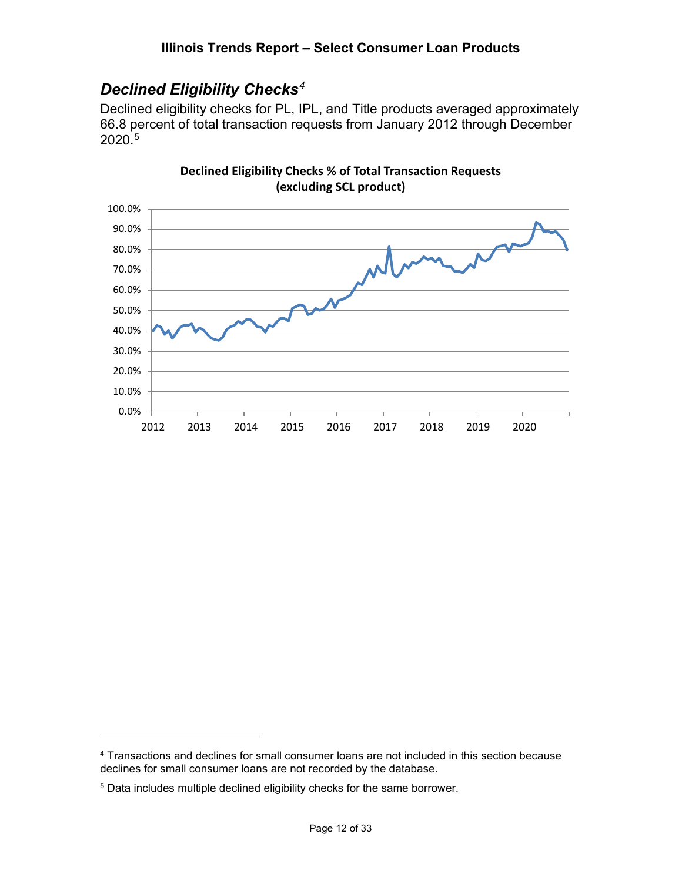# <span id="page-11-0"></span>*Declined Eligibility Checks[4](#page-11-1)*

Declined eligibility checks for PL, IPL, and Title products averaged approximately 66.8 percent of total transaction requests from January 2012 through December 2020. [5](#page-11-2)



**Declined Eligibility Checks % of Total Transaction Requests (excluding SCL product)**

<span id="page-11-1"></span><sup>&</sup>lt;sup>4</sup> Transactions and declines for small consumer loans are not included in this section because declines for small consumer loans are not recorded by the database.

<span id="page-11-2"></span><sup>5</sup> Data includes multiple declined eligibility checks for the same borrower.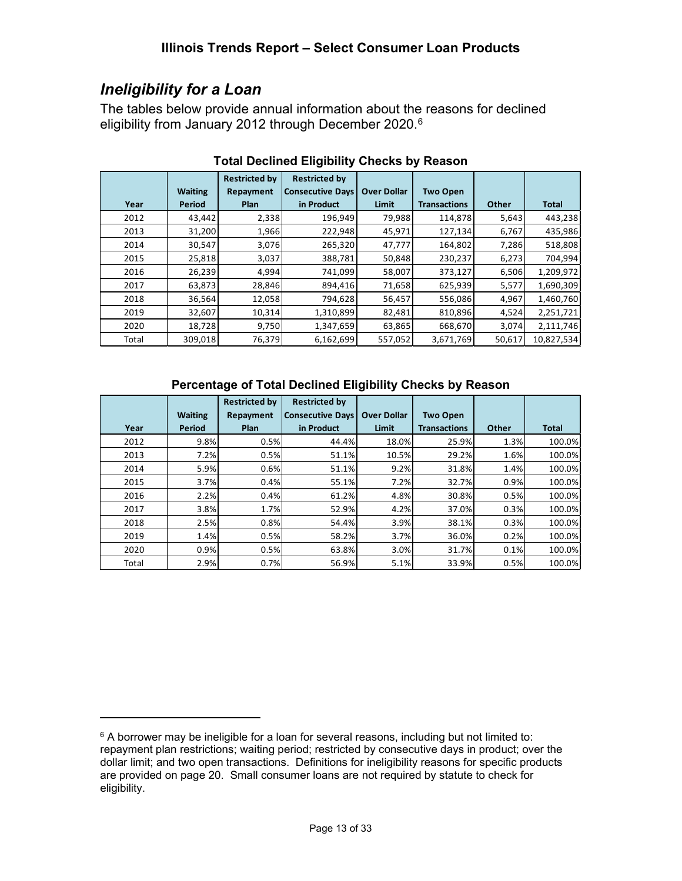# <span id="page-12-0"></span>*Ineligibility for a Loan*

The tables below provide annual information about the reasons for declined eligibility from January 2012 through December 2020. [6](#page-12-1)

|       |                | <b>Restricted by</b> | <b>Restricted by</b>    |                    |                     |        |              |
|-------|----------------|----------------------|-------------------------|--------------------|---------------------|--------|--------------|
|       | <b>Waiting</b> | <b>Repayment</b>     | <b>Consecutive Days</b> | <b>Over Dollar</b> | <b>Two Open</b>     |        |              |
| Year  | <b>Period</b>  | Plan                 | in Product              | Limit              | <b>Transactions</b> | Other  | <b>Total</b> |
| 2012  | 43,442         | 2,338                | 196,949                 | 79,988             | 114,878             | 5,643  | 443,238      |
| 2013  | 31,200         | 1,966                | 222,948                 | 45,971             | 127,134             | 6,767  | 435,986      |
| 2014  | 30,547         | 3,076                | 265,320                 | 47,777             | 164,802             | 7,286  | 518,808      |
| 2015  | 25,818         | 3,037                | 388,781                 | 50,848             | 230,237             | 6,273  | 704,994      |
| 2016  | 26,239         | 4,994                | 741,099                 | 58,007             | 373,127             | 6,506  | 1,209,972    |
| 2017  | 63,873         | 28,846               | 894,416                 | 71,658             | 625,939             | 5,577  | 1,690,309    |
| 2018  | 36,564         | 12,058               | 794,628                 | 56,457             | 556,086             | 4,967  | 1,460,760    |
| 2019  | 32,607         | 10,314               | 1,310,899               | 82,481             | 810,896             | 4,524  | 2,251,721    |
| 2020  | 18,728         | 9,750                | 1,347,659               | 63,865             | 668,670             | 3,074  | 2,111,746    |
| Total | 309,018        | 76,379               | 6,162,699               | 557,052            | 3,671,769           | 50,617 | 10,827,534   |

#### **Total Declined Eligibility Checks by Reason**

#### **Percentage of Total Declined Eligibility Checks by Reason**

|       |                | <b>Restricted by</b> | <b>Restricted by</b>    |                    |                     |       |              |
|-------|----------------|----------------------|-------------------------|--------------------|---------------------|-------|--------------|
|       | <b>Waiting</b> | Repayment            | <b>Consecutive Days</b> | <b>Over Dollar</b> | <b>Two Open</b>     |       |              |
| Year  | Period         | Plan                 | in Product              | <b>Limit</b>       | <b>Transactions</b> | Other | <b>Total</b> |
| 2012  | 9.8%           | 0.5%                 | 44.4%                   | 18.0%              | 25.9%               | 1.3%  | 100.0%       |
| 2013  | 7.2%           | 0.5%                 | 51.1%                   | 10.5%              | 29.2%               | 1.6%  | 100.0%       |
| 2014  | 5.9%           | 0.6%                 | 51.1%                   | 9.2%               | 31.8%               | 1.4%  | 100.0%       |
| 2015  | 3.7%           | 0.4%                 | 55.1%                   | 7.2%               | 32.7%               | 0.9%  | 100.0%       |
| 2016  | 2.2%           | 0.4%                 | 61.2%                   | 4.8%               | 30.8%               | 0.5%  | 100.0%       |
| 2017  | 3.8%           | 1.7%                 | 52.9%                   | 4.2%               | 37.0%               | 0.3%  | 100.0%       |
| 2018  | 2.5%           | 0.8%                 | 54.4%                   | 3.9%               | 38.1%               | 0.3%  | 100.0%       |
| 2019  | 1.4%           | 0.5%                 | 58.2%                   | 3.7%               | 36.0%               | 0.2%  | 100.0%       |
| 2020  | 0.9%           | 0.5%                 | 63.8%                   | 3.0%               | 31.7%               | 0.1%  | 100.0%       |
| Total | 2.9%           | 0.7%                 | 56.9%                   | 5.1%               | 33.9%               | 0.5%  | 100.0%       |

<span id="page-12-1"></span> $6$  A borrower may be ineligible for a loan for several reasons, including but not limited to: repayment plan restrictions; waiting period; restricted by consecutive days in product; over the dollar limit; and two open transactions. Definitions for ineligibility reasons for specific products are provided on page 20. Small consumer loans are not required by statute to check for eligibility.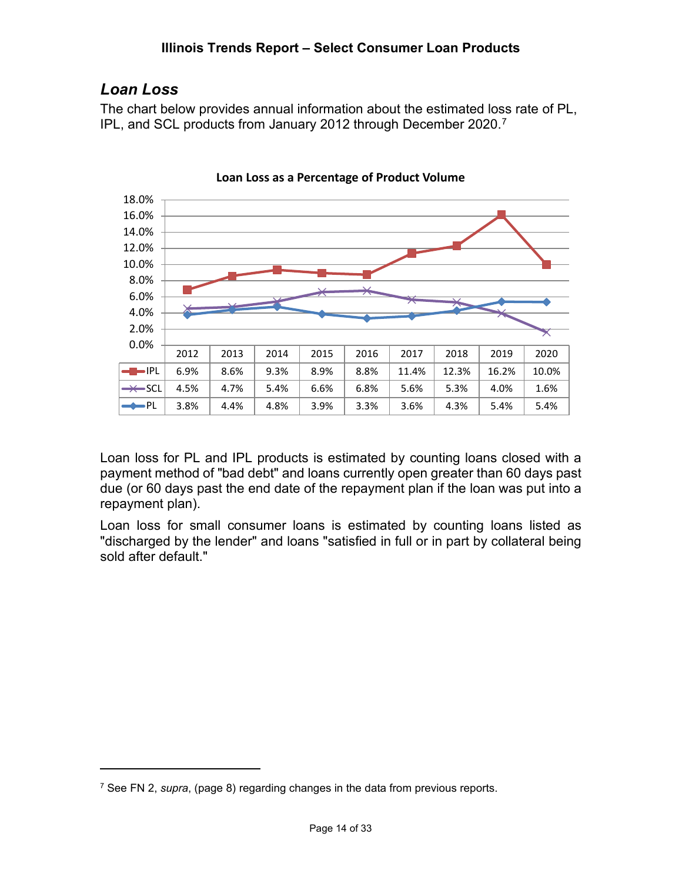#### **Illinois Trends Report – Select Consumer Loan Products**

# <span id="page-13-0"></span>*Loan Loss*

The chart below provides annual information about the estimated loss rate of PL, IPL, and SCL products from January 2012 through December 2020.<sup>[7](#page-13-1)</sup>



**Loan Loss as a Percentage of Product Volume**

Loan loss for PL and IPL products is estimated by counting loans closed with a payment method of "bad debt" and loans currently open greater than 60 days past due (or 60 days past the end date of the repayment plan if the loan was put into a repayment plan).

Loan loss for small consumer loans is estimated by counting loans listed as "discharged by the lender" and loans "satisfied in full or in part by collateral being sold after default."

<span id="page-13-1"></span><sup>7</sup> See FN 2, *supra*, (page 8) regarding changes in the data from previous reports.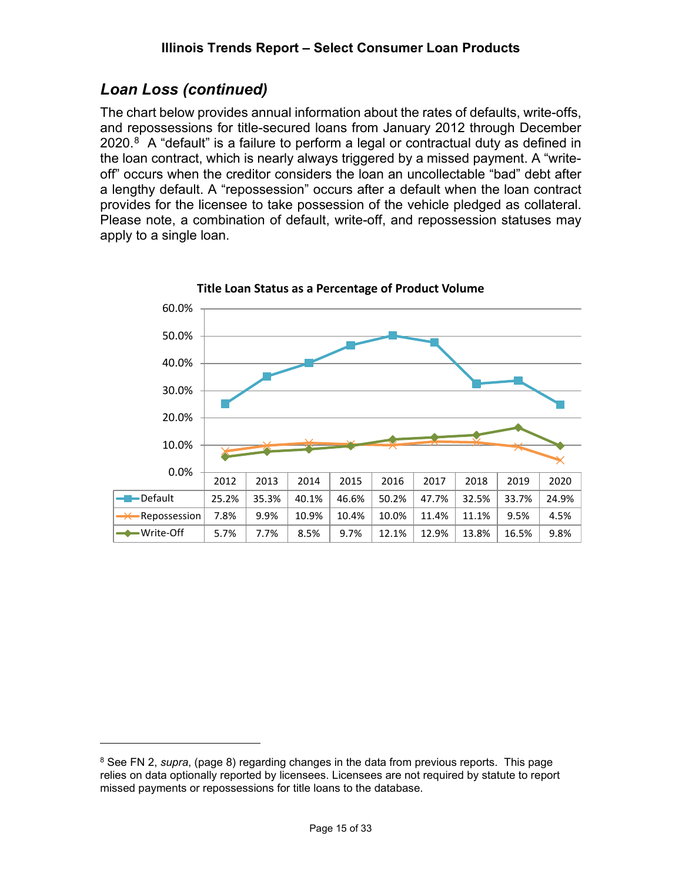# *Loan Loss (continued)*

The chart below provides annual information about the rates of defaults, write-offs, and repossessions for title-secured loans from January 2012 through December 2020.<sup>[8](#page-14-0)</sup> A "default" is a failure to perform a legal or contractual duty as defined in the loan contract, which is nearly always triggered by a missed payment. A "writeoff" occurs when the creditor considers the loan an uncollectable "bad" debt after a lengthy default. A "repossession" occurs after a default when the loan contract provides for the licensee to take possession of the vehicle pledged as collateral. Please note, a combination of default, write-off, and repossession statuses may apply to a single loan.



**Title Loan Status as a Percentage of Product Volume**

<span id="page-14-0"></span><sup>8</sup> See FN 2, *supra*, (page 8) regarding changes in the data from previous reports. This page relies on data optionally reported by licensees. Licensees are not required by statute to report missed payments or repossessions for title loans to the database.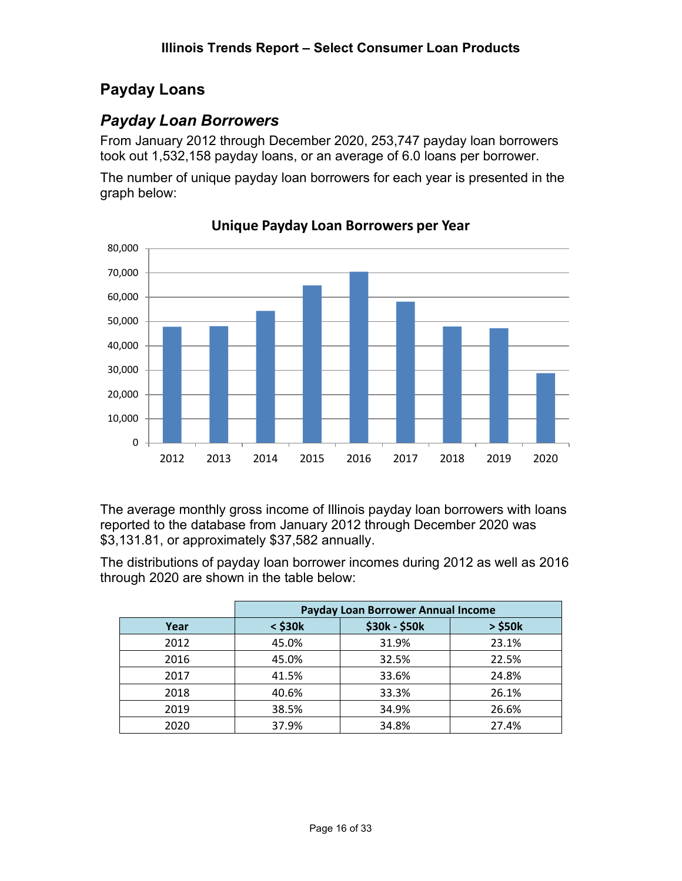# <span id="page-15-0"></span>**Payday Loans**

# <span id="page-15-1"></span>*Payday Loan Borrowers*

From January 2012 through December 2020, 253,747 payday loan borrowers took out 1,532,158 payday loans, or an average of 6.0 loans per borrower.

The number of unique payday loan borrowers for each year is presented in the graph below:



**Unique Payday Loan Borrowers per Year**

The average monthly gross income of Illinois payday loan borrowers with loans reported to the database from January 2012 through December 2020 was \$3,131.81, or approximately \$37,582 annually.

The distributions of payday loan borrower incomes during 2012 as well as 2016 through 2020 are shown in the table below:

|      | Payday Loan Borrower Annual Income |               |              |  |  |
|------|------------------------------------|---------------|--------------|--|--|
| Year | $<$ \$30 $k$                       | \$30k - \$50k | $>$ \$50 $k$ |  |  |
| 2012 | 45.0%                              | 31.9%         | 23.1%        |  |  |
| 2016 | 45.0%                              | 32.5%         | 22.5%        |  |  |
| 2017 | 41.5%                              | 33.6%         | 24.8%        |  |  |
| 2018 | 40.6%                              | 33.3%         | 26.1%        |  |  |
| 2019 | 38.5%                              | 34.9%         | 26.6%        |  |  |
| 2020 | 37.9%                              | 34.8%         | 27.4%        |  |  |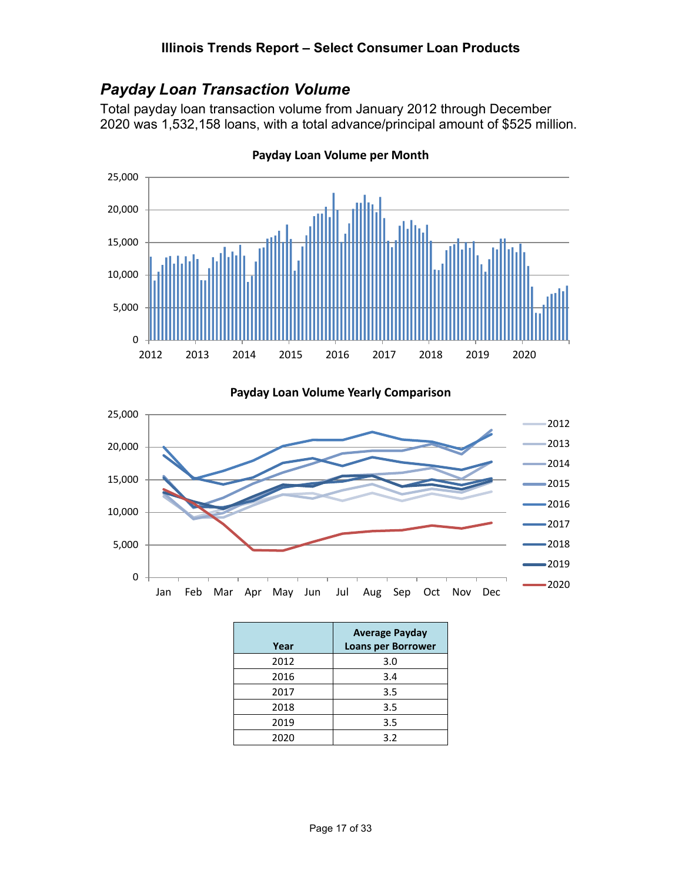# <span id="page-16-0"></span>*Payday Loan Transaction Volume*

Total payday loan transaction volume from January 2012 through December 2020 was 1,532,158 loans, with a total advance/principal amount of \$525 million.



**Payday Loan Volume per Month**

**Payday Loan Volume Yearly Comparison**



| Year | <b>Average Payday</b><br><b>Loans per Borrower</b> |
|------|----------------------------------------------------|
| 2012 | 3.0                                                |
| 2016 | 3.4                                                |
| 2017 | 3.5                                                |
| 2018 | 3.5                                                |
| 2019 | 3.5                                                |
| 2020 | 3.2                                                |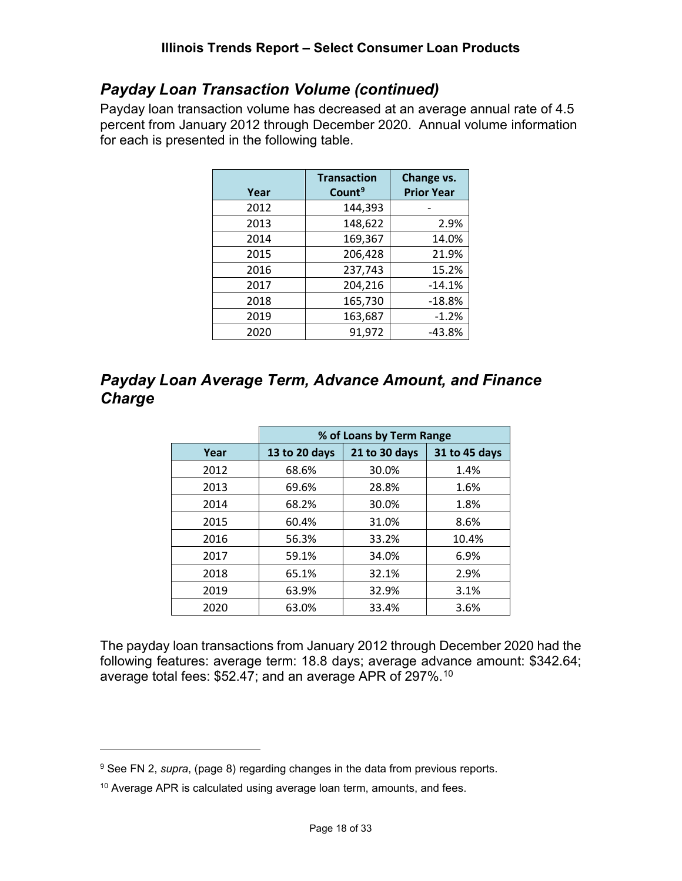# *Payday Loan Transaction Volume (continued)*

Payday loan transaction volume has decreased at an average annual rate of 4.5 percent from January 2012 through December 2020. Annual volume information for each is presented in the following table.

| Year | <b>Transaction</b><br>Count <sup>9</sup> | Change vs.<br><b>Prior Year</b> |
|------|------------------------------------------|---------------------------------|
| 2012 | 144,393                                  |                                 |
| 2013 | 148,622                                  | 2.9%                            |
| 2014 | 169,367                                  | 14.0%                           |
| 2015 | 206,428                                  | 21.9%                           |
| 2016 | 237,743                                  | 15.2%                           |
| 2017 | 204,216                                  | $-14.1%$                        |
| 2018 | 165,730                                  | $-18.8%$                        |
| 2019 | 163,687                                  | $-1.2%$                         |
| 2020 | 91,972                                   | -43.8%                          |

# <span id="page-17-0"></span>*Payday Loan Average Term, Advance Amount, and Finance Charge*

|      | % of Loans by Term Range |               |               |  |  |  |
|------|--------------------------|---------------|---------------|--|--|--|
| Year | 13 to 20 days            | 21 to 30 days | 31 to 45 days |  |  |  |
| 2012 | 68.6%                    | 30.0%         | 1.4%          |  |  |  |
| 2013 | 69.6%                    | 28.8%         | 1.6%          |  |  |  |
| 2014 | 68.2%                    | 30.0%         | 1.8%          |  |  |  |
| 2015 | 60.4%                    | 31.0%         | 8.6%          |  |  |  |
| 2016 | 56.3%                    | 33.2%         | 10.4%         |  |  |  |
| 2017 | 59.1%                    | 34.0%         | 6.9%          |  |  |  |
| 2018 | 65.1%                    | 32.1%         | 2.9%          |  |  |  |
| 2019 | 63.9%                    | 32.9%         | 3.1%          |  |  |  |
| 2020 | 63.0%                    | 33.4%         | 3.6%          |  |  |  |

The payday loan transactions from January 2012 through December 2020 had the following features: average term: 18.8 days; average advance amount: \$342.64; average total fees: \$52.47; and an average APR of 297%.[10](#page-17-2)

<span id="page-17-1"></span><sup>9</sup> See FN 2, *supra*, (page 8) regarding changes in the data from previous reports.

<span id="page-17-2"></span><sup>&</sup>lt;sup>10</sup> Average APR is calculated using average loan term, amounts, and fees.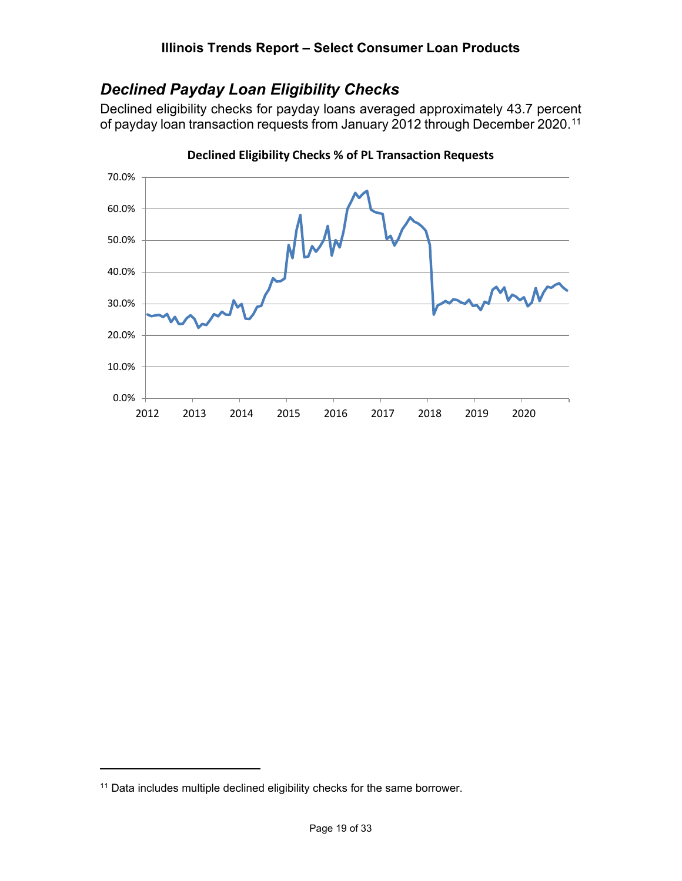# <span id="page-18-0"></span>*Declined Payday Loan Eligibility Checks*

Declined eligibility checks for payday loans averaged approximately 43.7 percent of payday loan transaction requests from January 2012 through December 2020.<sup>[11](#page-18-1)</sup>



**Declined Eligibility Checks % of PL Transaction Requests**

<span id="page-18-1"></span><sup>11</sup> Data includes multiple declined eligibility checks for the same borrower.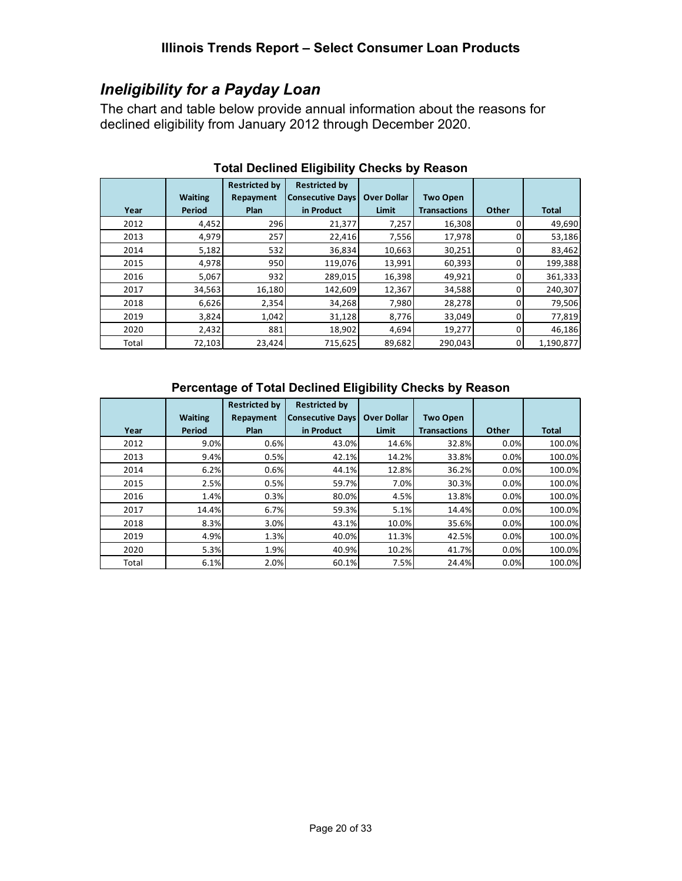# <span id="page-19-0"></span>*Ineligibility for a Payday Loan*

The chart and table below provide annual information about the reasons for declined eligibility from January 2012 through December 2020.

|       |                | <b>Restricted by</b> | <b>Restricted by</b>    |                    |                     |       |              |
|-------|----------------|----------------------|-------------------------|--------------------|---------------------|-------|--------------|
|       | <b>Waiting</b> | Repayment            | <b>Consecutive Days</b> | <b>Over Dollar</b> | <b>Two Open</b>     |       |              |
| Year  | Period         | <b>Plan</b>          | in Product              | Limit              | <b>Transactions</b> | Other | <b>Total</b> |
| 2012  | 4,452          | 296                  | 21,377                  | 7,257              | 16,308              |       | 49,690       |
| 2013  | 4,979          | 257                  | 22,416                  | 7,556              | 17,978              | 0     | 53,186       |
| 2014  | 5,182          | 532                  | 36,834                  | 10,663             | 30,251              | 0     | 83,462       |
| 2015  | 4,978          | 950                  | 119,076                 | 13,991             | 60,393              | o     | 199,388      |
| 2016  | 5,067          | 932                  | 289,015                 | 16,398             | 49,921              | 0     | 361,333      |
| 2017  | 34,563         | 16,180               | 142,609                 | 12,367             | 34,588              | 0     | 240,307      |
| 2018  | 6,626          | 2,354                | 34,268                  | 7,980              | 28,278              |       | 79,506       |
| 2019  | 3,824          | 1,042                | 31,128                  | 8,776              | 33,049              | o     | 77,819       |
| 2020  | 2,432          | 881                  | 18,902                  | 4,694              | 19,277              | o     | 46,186       |
| Total | 72,103         | 23,424               | 715,625                 | 89,682             | 290,043             | 0     | 1,190,877    |

#### **Total Declined Eligibility Checks by Reason**

#### **Percentage of Total Declined Eligibility Checks by Reason**

|       |                | <b>Restricted by</b> | <b>Restricted by</b>    |                    |                     |       |              |
|-------|----------------|----------------------|-------------------------|--------------------|---------------------|-------|--------------|
|       | <b>Waiting</b> | Repayment            | <b>Consecutive Days</b> | <b>Over Dollar</b> | <b>Two Open</b>     |       |              |
| Year  | <b>Period</b>  | Plan                 | in Product              | Limit              | <b>Transactions</b> | Other | <b>Total</b> |
| 2012  | 9.0%           | 0.6%                 | 43.0%                   | 14.6%              | 32.8%               | 0.0%  | 100.0%       |
| 2013  | 9.4%           | 0.5%                 | 42.1%                   | 14.2%              | 33.8%               | 0.0%  | 100.0%       |
| 2014  | 6.2%           | 0.6%                 | 44.1%                   | 12.8%              | 36.2%               | 0.0%  | 100.0%       |
| 2015  | 2.5%           | 0.5%                 | 59.7%                   | 7.0%               | 30.3%               | 0.0%  | 100.0%       |
| 2016  | 1.4%           | 0.3%                 | 80.0%                   | 4.5%               | 13.8%               | 0.0%  | 100.0%       |
| 2017  | 14.4%          | 6.7%                 | 59.3%                   | 5.1%               | 14.4%               | 0.0%  | 100.0%       |
| 2018  | 8.3%           | 3.0%                 | 43.1%                   | 10.0%              | 35.6%               | 0.0%  | 100.0%       |
| 2019  | 4.9%           | 1.3%                 | 40.0%                   | 11.3%              | 42.5%               | 0.0%  | 100.0%       |
| 2020  | 5.3%           | 1.9%                 | 40.9%                   | 10.2%              | 41.7%               | 0.0%  | 100.0%       |
| Total | 6.1%           | 2.0%                 | 60.1%                   | 7.5%               | 24.4%               | 0.0%  | 100.0%       |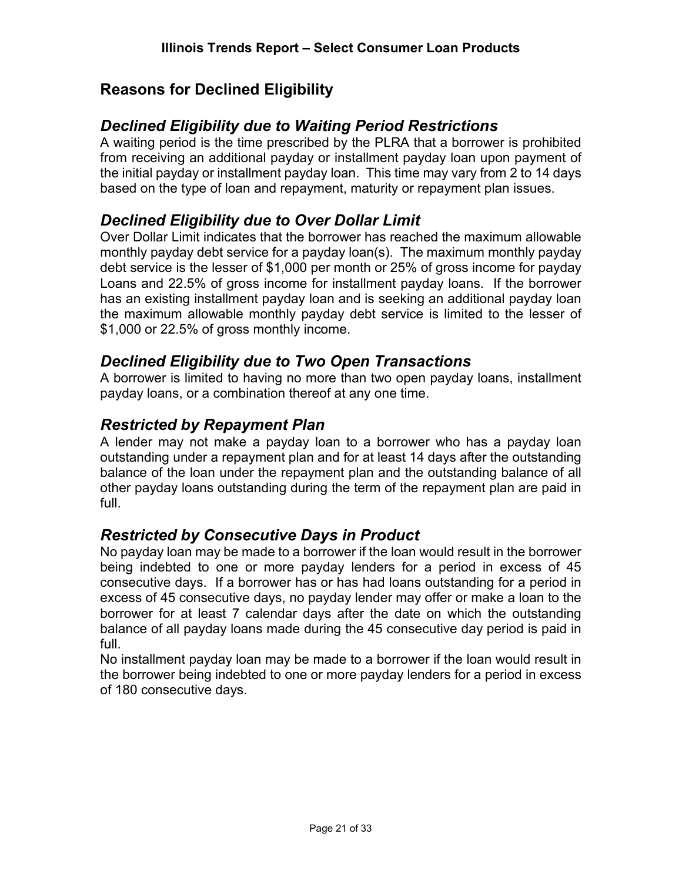# <span id="page-20-0"></span>**Reasons for Declined Eligibility**

## *Declined Eligibility due to Waiting Period Restrictions*

A waiting period is the time prescribed by the PLRA that a borrower is prohibited from receiving an additional payday or installment payday loan upon payment of the initial payday or installment payday loan. This time may vary from 2 to 14 days based on the type of loan and repayment, maturity or repayment plan issues.

#### *Declined Eligibility due to Over Dollar Limit*

Over Dollar Limit indicates that the borrower has reached the maximum allowable monthly payday debt service for a payday loan(s). The maximum monthly payday debt service is the lesser of \$1,000 per month or 25% of gross income for payday Loans and 22.5% of gross income for installment payday loans. If the borrower has an existing installment payday loan and is seeking an additional payday loan the maximum allowable monthly payday debt service is limited to the lesser of \$1,000 or 22.5% of gross monthly income.

## *Declined Eligibility due to Two Open Transactions*

A borrower is limited to having no more than two open payday loans, installment payday loans, or a combination thereof at any one time.

## *Restricted by Repayment Plan*

A lender may not make a payday loan to a borrower who has a payday loan outstanding under a repayment plan and for at least 14 days after the outstanding balance of the loan under the repayment plan and the outstanding balance of all other payday loans outstanding during the term of the repayment plan are paid in full.

#### *Restricted by Consecutive Days in Product*

No payday loan may be made to a borrower if the loan would result in the borrower being indebted to one or more payday lenders for a period in excess of 45 consecutive days. If a borrower has or has had loans outstanding for a period in excess of 45 consecutive days, no payday lender may offer or make a loan to the borrower for at least 7 calendar days after the date on which the outstanding balance of all payday loans made during the 45 consecutive day period is paid in full.

No installment payday loan may be made to a borrower if the loan would result in the borrower being indebted to one or more payday lenders for a period in excess of 180 consecutive days.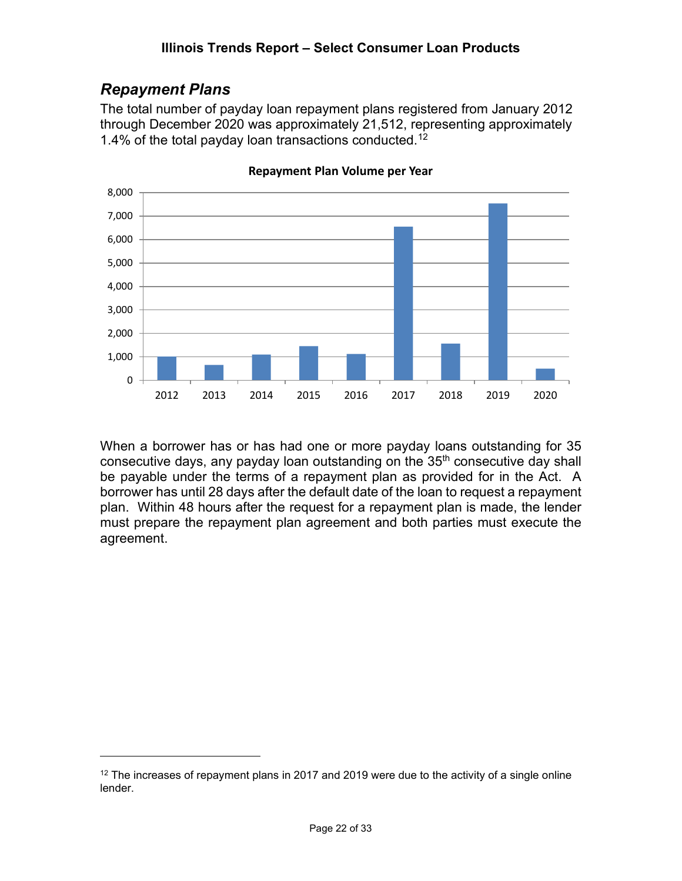# <span id="page-21-0"></span>*Repayment Plans*

The total number of payday loan repayment plans registered from January 2012 through December 2020 was approximately 21,512, representing approximately 1.4% of the total payday loan transactions conducted. [12](#page-21-1)



**Repayment Plan Volume per Year**

When a borrower has or has had one or more payday loans outstanding for 35 consecutive days, any payday loan outstanding on the 35<sup>th</sup> consecutive day shall be payable under the terms of a repayment plan as provided for in the Act. A borrower has until 28 days after the default date of the loan to request a repayment plan. Within 48 hours after the request for a repayment plan is made, the lender must prepare the repayment plan agreement and both parties must execute the agreement.

<span id="page-21-1"></span> $12$  The increases of repayment plans in 2017 and 2019 were due to the activity of a single online lender.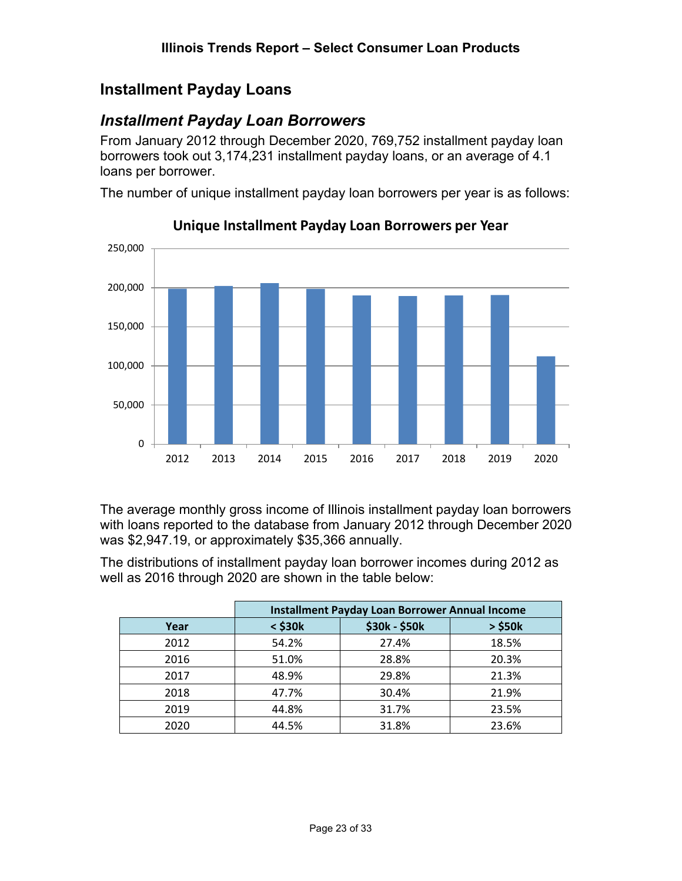# <span id="page-22-0"></span>**Installment Payday Loans**

# <span id="page-22-1"></span>*Installment Payday Loan Borrowers*

From January 2012 through December 2020, 769,752 installment payday loan borrowers took out 3,174,231 installment payday loans, or an average of 4.1 loans per borrower.

The number of unique installment payday loan borrowers per year is as follows:



#### **Unique Installment Payday Loan Borrowers per Year**

The average monthly gross income of Illinois installment payday loan borrowers with loans reported to the database from January 2012 through December 2020 was \$2,947.19, or approximately \$35,366 annually.

The distributions of installment payday loan borrower incomes during 2012 as well as 2016 through 2020 are shown in the table below:

|      | <b>Installment Payday Loan Borrower Annual Income</b> |               |              |  |  |  |
|------|-------------------------------------------------------|---------------|--------------|--|--|--|
| Year | $<$ \$30 $k$                                          | \$30k - \$50k | $>$ \$50 $k$ |  |  |  |
| 2012 | 54.2%                                                 | 27.4%         | 18.5%        |  |  |  |
| 2016 | 51.0%                                                 | 28.8%         | 20.3%        |  |  |  |
| 2017 | 48.9%                                                 | 29.8%         | 21.3%        |  |  |  |
| 2018 | 47.7%                                                 | 30.4%         | 21.9%        |  |  |  |
| 2019 | 44.8%                                                 | 31.7%         | 23.5%        |  |  |  |
| 2020 | 44.5%                                                 | 31.8%         | 23.6%        |  |  |  |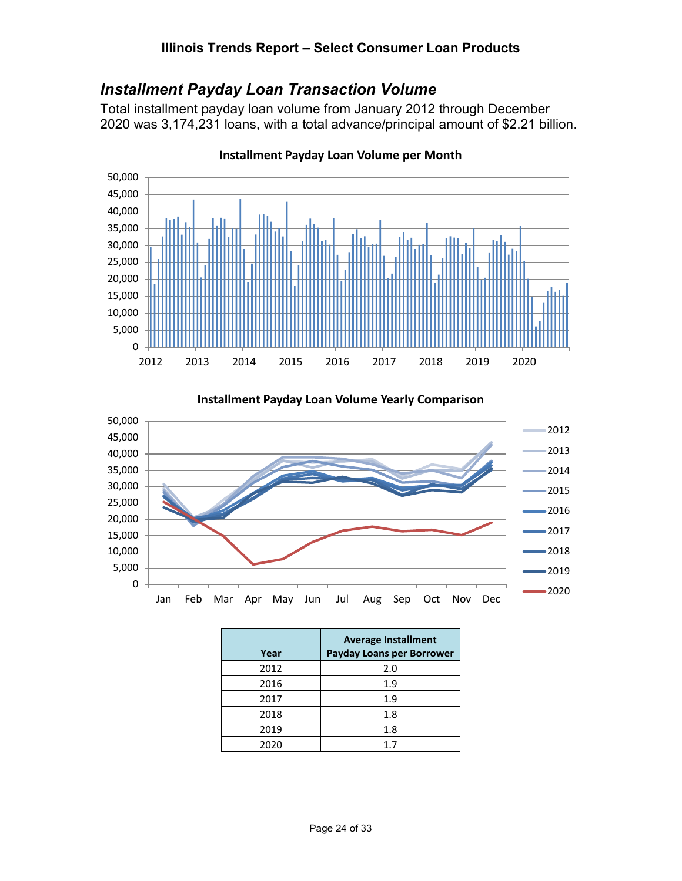# <span id="page-23-0"></span>*Installment Payday Loan Transaction Volume*

Total installment payday loan volume from January 2012 through December 2020 was 3,174,231 loans, with a total advance/principal amount of \$2.21 billion.



**Installment Payday Loan Volume per Month**

25,000 30,000 35,000 40,000 45,000 50,000 2012 2013 2014 2015

**Installment Payday Loan Volume Yearly Comparison**

|      | <b>Average Installment</b> |
|------|----------------------------|
| Year | Payday Loans per Borrower  |
| 2012 | 2.0                        |
| 2016 | 1.9                        |
| 2017 | 1.9                        |
| 2018 | 1.8                        |
| 2019 | 1.8                        |
| 2020 | 17                         |

Jan Feb Mar Apr May Jun Jul Aug Sep Oct Nov Dec

0 5,000 10,000 15,000 20,000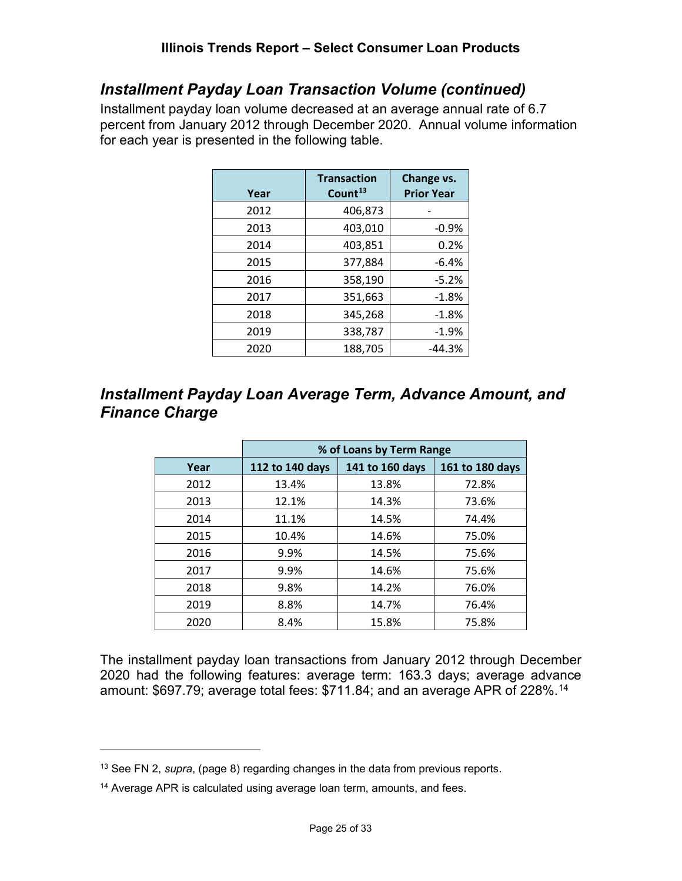# *Installment Payday Loan Transaction Volume (continued)*

Installment payday loan volume decreased at an average annual rate of 6.7 percent from January 2012 through December 2020. Annual volume information for each year is presented in the following table.

| Year | <b>Transaction</b><br>Count <sup>13</sup> | Change vs.<br><b>Prior Year</b> |
|------|-------------------------------------------|---------------------------------|
| 2012 | 406,873                                   |                                 |
| 2013 | 403,010                                   | $-0.9%$                         |
| 2014 | 403,851                                   | 0.2%                            |
| 2015 | 377,884                                   | $-6.4%$                         |
| 2016 | 358,190                                   | $-5.2%$                         |
| 2017 | 351,663                                   | $-1.8%$                         |
| 2018 | 345,268                                   | $-1.8%$                         |
| 2019 | 338,787                                   | $-1.9%$                         |
| 2020 | 188,705                                   | $-44.3%$                        |

# <span id="page-24-0"></span>*Installment Payday Loan Average Term, Advance Amount, and Finance Charge*

|      | % of Loans by Term Range |                 |                 |  |  |  |
|------|--------------------------|-----------------|-----------------|--|--|--|
| Year | 112 to 140 days          | 141 to 160 days | 161 to 180 days |  |  |  |
| 2012 | 13.4%                    | 13.8%           | 72.8%           |  |  |  |
| 2013 | 12.1%                    | 14.3%           | 73.6%           |  |  |  |
| 2014 | 11.1%                    | 14.5%           | 74.4%           |  |  |  |
| 2015 | 10.4%                    | 14.6%           | 75.0%           |  |  |  |
| 2016 | 9.9%                     | 14.5%           | 75.6%           |  |  |  |
| 2017 | 9.9%                     | 14.6%           | 75.6%           |  |  |  |
| 2018 | 9.8%                     | 14.2%           | 76.0%           |  |  |  |
| 2019 | 8.8%                     | 14.7%           | 76.4%           |  |  |  |
| 2020 | 8.4%                     | 15.8%           | 75.8%           |  |  |  |

The installment payday loan transactions from January 2012 through December 2020 had the following features: average term: 163.3 days; average advance amount: \$697.79; average total fees: \$711.84; and an average APR of 228%.[14](#page-24-2)

<span id="page-24-1"></span><sup>13</sup> See FN 2, *supra*, (page 8) regarding changes in the data from previous reports.

<span id="page-24-2"></span><sup>&</sup>lt;sup>14</sup> Average APR is calculated using average loan term, amounts, and fees.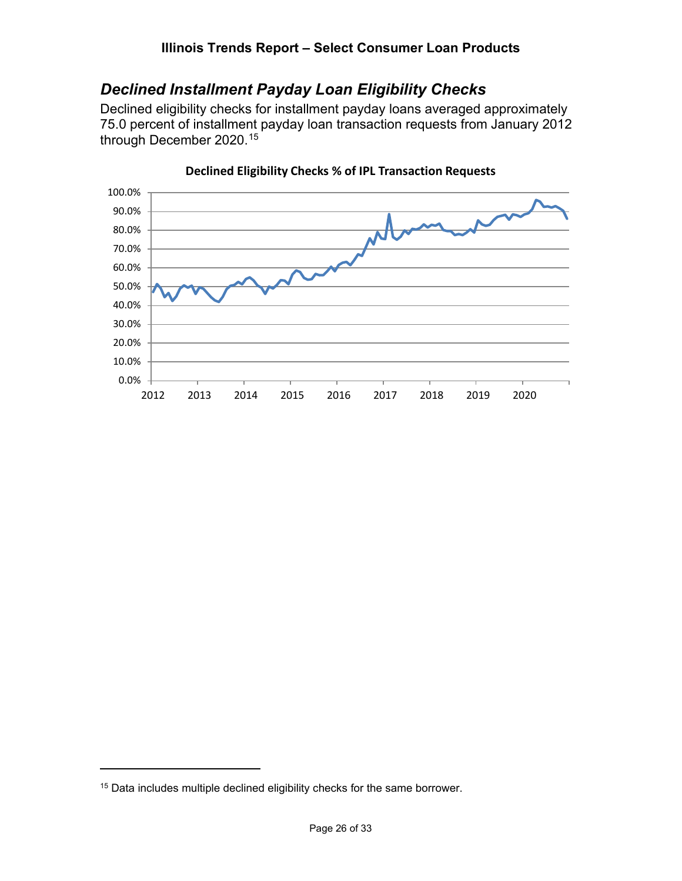#### **Illinois Trends Report – Select Consumer Loan Products**

# <span id="page-25-0"></span>*Declined Installment Payday Loan Eligibility Checks*

Declined eligibility checks for installment payday loans averaged approximately 75.0 percent of installment payday loan transaction requests from January 2012 through December 2020. [15](#page-25-1)



#### **Declined Eligibility Checks % of IPL Transaction Requests**

<span id="page-25-1"></span><sup>15</sup> Data includes multiple declined eligibility checks for the same borrower.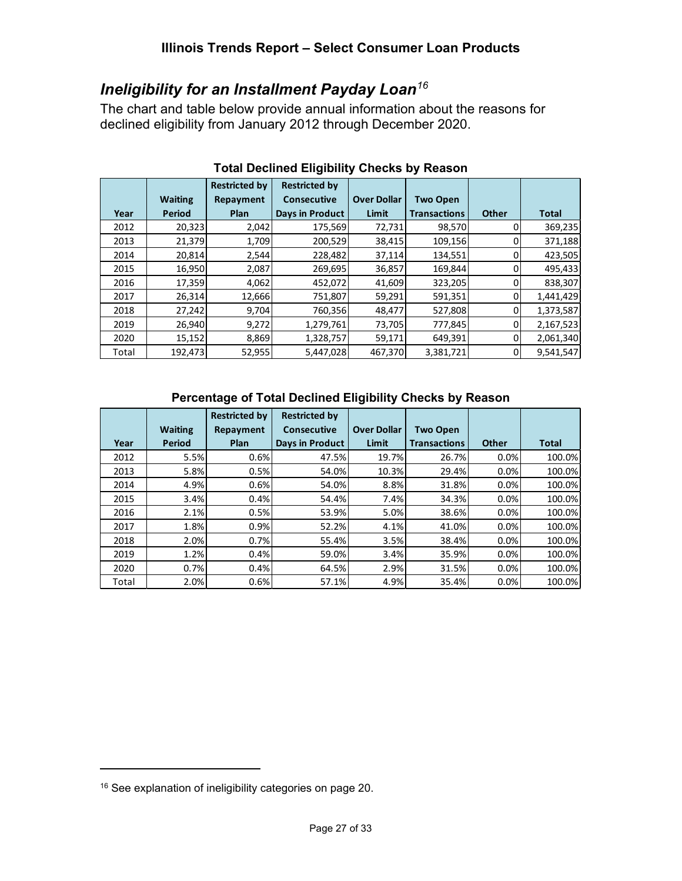# <span id="page-26-0"></span>*Ineligibility for an Installment Payday Loan[16](#page-26-1)*

The chart and table below provide annual information about the reasons for declined eligibility from January 2012 through December 2020.

|       |                | <b>Restricted by</b> | <b>Restricted by</b>   |                    |                     |              |              |
|-------|----------------|----------------------|------------------------|--------------------|---------------------|--------------|--------------|
|       | <b>Waiting</b> | Repayment            | <b>Consecutive</b>     | <b>Over Dollar</b> | <b>Two Open</b>     |              |              |
| Year  | Period         | <b>Plan</b>          | <b>Days in Product</b> | Limit              | <b>Transactions</b> | <b>Other</b> | <b>Total</b> |
| 2012  | 20,323         | 2,042                | 175,569                | 72,731             | 98,570              | 0            | 369,235      |
| 2013  | 21,379         | 1,709                | 200,529                | 38,415             | 109,156             | 0            | 371,188      |
| 2014  | 20,814         | 2,544                | 228,482                | 37,114             | 134,551             | 0            | 423,505      |
| 2015  | 16,950         | 2,087                | 269,695                | 36,857             | 169,844             | 0            | 495,433      |
| 2016  | 17,359         | 4,062                | 452,072                | 41,609             | 323,205             |              | 838,307      |
| 2017  | 26,314         | 12,666               | 751,807                | 59,291             | 591,351             | 0            | 1,441,429    |
| 2018  | 27,242         | 9,704                | 760,356                | 48,477             | 527,808             | 0            | 1,373,587    |
| 2019  | 26,940         | 9,272                | 1,279,761              | 73,705             | 777,845             | 0            | 2,167,523    |
| 2020  | 15,152         | 8,869                | 1,328,757              | 59,171             | 649,391             | 0            | 2,061,340    |
| Total | 192,473        | 52,955               | 5,447,028              | 467,370            | 3,381,721           | 0            | 9,541,547    |

#### **Total Declined Eligibility Checks by Reason**

#### **Percentage of Total Declined Eligibility Checks by Reason**

|       |                | <b>Restricted by</b> | <b>Restricted by</b> |                    |                     |              |              |
|-------|----------------|----------------------|----------------------|--------------------|---------------------|--------------|--------------|
|       | <b>Waiting</b> | Repayment            | Consecutive          | <b>Over Dollar</b> | <b>Two Open</b>     |              |              |
| Year  | Period         | <b>Plan</b>          | Days in Product      | Limit              | <b>Transactions</b> | <b>Other</b> | <b>Total</b> |
| 2012  | 5.5%           | 0.6%                 | 47.5%                | 19.7%              | 26.7%               | 0.0%         | 100.0%       |
| 2013  | 5.8%           | 0.5%                 | 54.0%                | 10.3%              | 29.4%               | 0.0%         | 100.0%       |
| 2014  | 4.9%           | 0.6%                 | 54.0%                | 8.8%               | 31.8%               | 0.0%         | 100.0%       |
| 2015  | 3.4%           | 0.4%                 | 54.4%                | 7.4%               | 34.3%               | 0.0%         | 100.0%       |
| 2016  | 2.1%           | 0.5%                 | 53.9%                | 5.0%               | 38.6%               | 0.0%         | 100.0%       |
| 2017  | 1.8%           | 0.9%                 | 52.2%                | 4.1%               | 41.0%               | 0.0%         | 100.0%       |
| 2018  | 2.0%           | 0.7%                 | 55.4%                | 3.5%               | 38.4%               | 0.0%         | 100.0%       |
| 2019  | 1.2%           | 0.4%                 | 59.0%                | 3.4%               | 35.9%               | 0.0%         | 100.0%       |
| 2020  | 0.7%           | 0.4%                 | 64.5%                | 2.9%               | 31.5%               | 0.0%         | 100.0%       |
| Total | 2.0%           | 0.6%                 | 57.1%                | 4.9%               | 35.4%               | 0.0%         | 100.0%       |

<span id="page-26-1"></span><sup>16</sup> See explanation of ineligibility categories on page 20.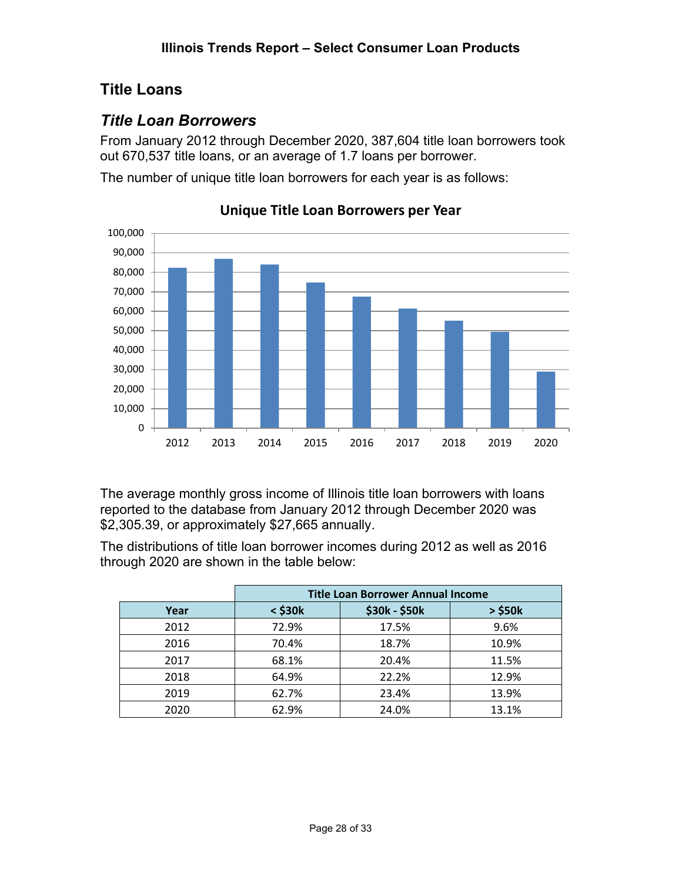# <span id="page-27-0"></span>**Title Loans**

# <span id="page-27-1"></span>*Title Loan Borrowers*

From January 2012 through December 2020, 387,604 title loan borrowers took out 670,537 title loans, or an average of 1.7 loans per borrower.

The number of unique title loan borrowers for each year is as follows:



**Unique Title Loan Borrowers per Year**

The average monthly gross income of Illinois title loan borrowers with loans reported to the database from January 2012 through December 2020 was \$2,305.39, or approximately \$27,665 annually.

The distributions of title loan borrower incomes during 2012 as well as 2016 through 2020 are shown in the table below:

|      | <b>Title Loan Borrower Annual Income</b> |               |              |  |  |  |
|------|------------------------------------------|---------------|--------------|--|--|--|
| Year | $<$ \$30 $k$                             | \$30k - \$50k | $>$ \$50 $k$ |  |  |  |
| 2012 | 72.9%                                    | 17.5%         | 9.6%         |  |  |  |
| 2016 | 70.4%                                    | 18.7%         | 10.9%        |  |  |  |
| 2017 | 68.1%                                    | 20.4%         | 11.5%        |  |  |  |
| 2018 | 64.9%                                    | 22.2%         | 12.9%        |  |  |  |
| 2019 | 62.7%                                    | 23.4%         | 13.9%        |  |  |  |
| 2020 | 62.9%                                    | 24.0%         | 13.1%        |  |  |  |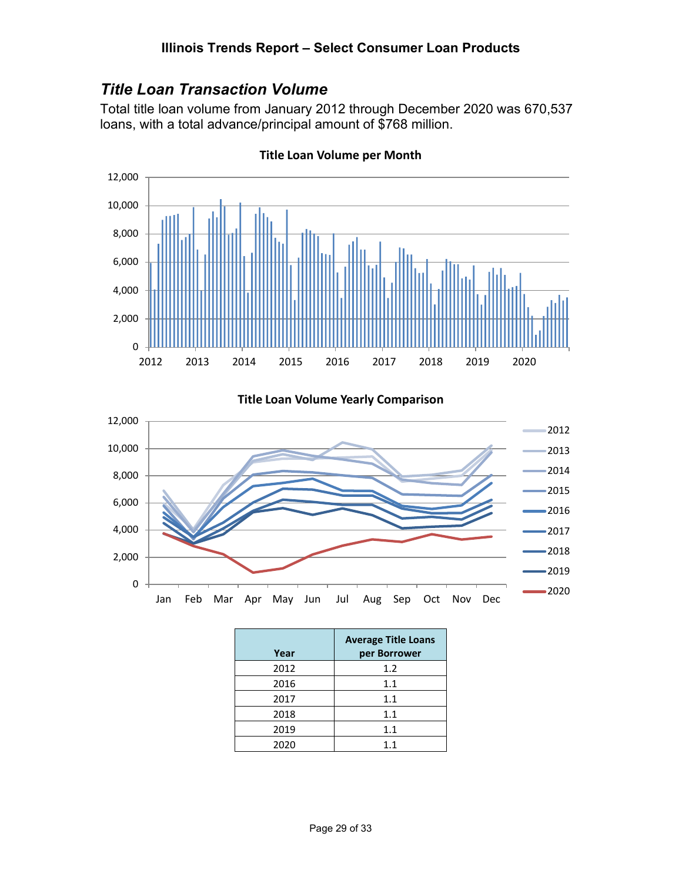# <span id="page-28-0"></span>*Title Loan Transaction Volume*

Total title loan volume from January 2012 through December 2020 was 670,537 loans, with a total advance/principal amount of \$768 million.



**Title Loan Volume per Month**

**Title Loan Volume Yearly Comparison**



| Year | <b>Average Title Loans</b><br>per Borrower |
|------|--------------------------------------------|
| 2012 | 1.2                                        |
| 2016 | 1.1                                        |
| 2017 | 1.1                                        |
| 2018 | 1.1                                        |
| 2019 | 1.1                                        |
| 2020 | 1.1                                        |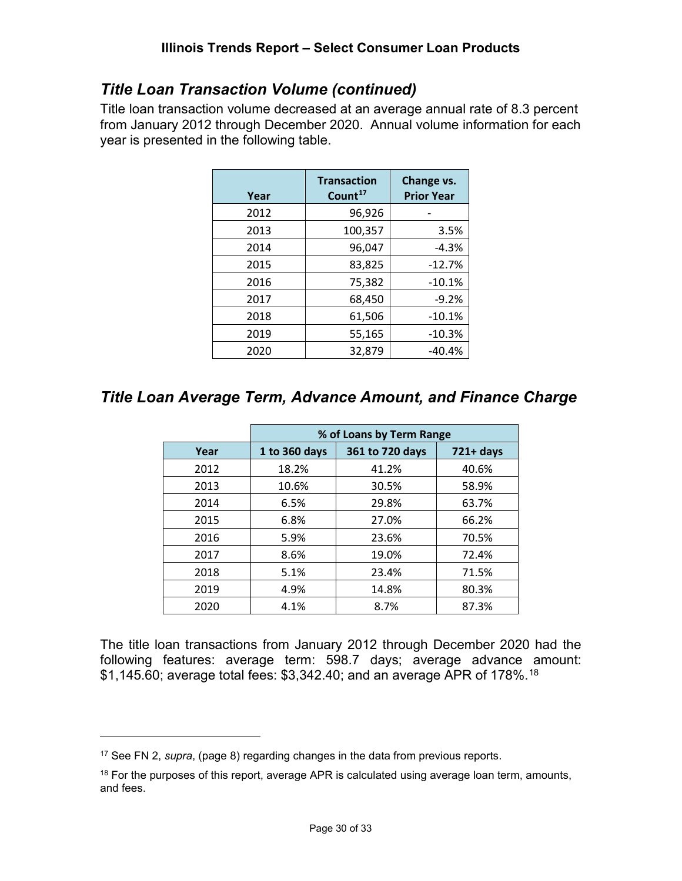# *Title Loan Transaction Volume (continued)*

Title loan transaction volume decreased at an average annual rate of 8.3 percent from January 2012 through December 2020. Annual volume information for each year is presented in the following table.

| Year | <b>Transaction</b><br>Count <sup>17</sup> | Change vs.<br><b>Prior Year</b> |
|------|-------------------------------------------|---------------------------------|
| 2012 | 96,926                                    |                                 |
| 2013 | 100,357                                   | 3.5%                            |
| 2014 | 96,047                                    | $-4.3%$                         |
| 2015 | 83,825                                    | $-12.7%$                        |
| 2016 | 75,382                                    | $-10.1%$                        |
| 2017 | 68,450                                    | $-9.2%$                         |
| 2018 | 61,506                                    | $-10.1%$                        |
| 2019 | 55,165                                    | $-10.3%$                        |
| 2020 | 32,879                                    | $-40.4%$                        |

# <span id="page-29-0"></span>*Title Loan Average Term, Advance Amount, and Finance Charge*

|      | % of Loans by Term Range |                 |              |  |  |  |
|------|--------------------------|-----------------|--------------|--|--|--|
| Year | 1 to 360 days            | 361 to 720 days | $721 + days$ |  |  |  |
| 2012 | 18.2%                    | 41.2%           | 40.6%        |  |  |  |
| 2013 | 10.6%                    | 30.5%           | 58.9%        |  |  |  |
| 2014 | 6.5%                     | 29.8%           | 63.7%        |  |  |  |
| 2015 | 6.8%                     | 27.0%           | 66.2%        |  |  |  |
| 2016 | 5.9%                     | 23.6%           | 70.5%        |  |  |  |
| 2017 | 8.6%                     | 19.0%           | 72.4%        |  |  |  |
| 2018 | 5.1%                     | 23.4%           | 71.5%        |  |  |  |
| 2019 | 4.9%                     | 14.8%           | 80.3%        |  |  |  |
| 2020 | 4.1%                     | 8.7%            | 87.3%        |  |  |  |

The title loan transactions from January 2012 through December 2020 had the following features: average term: 598.7 days; average advance amount:  $$1,145.60$ ; average total fees:  $$3,342.40$ ; and an average APR of 178%.<sup>[18](#page-29-2)</sup>

<span id="page-29-1"></span><sup>17</sup> See FN 2, *supra*, (page 8) regarding changes in the data from previous reports.

<span id="page-29-2"></span> $18$  For the purposes of this report, average APR is calculated using average loan term, amounts, and fees.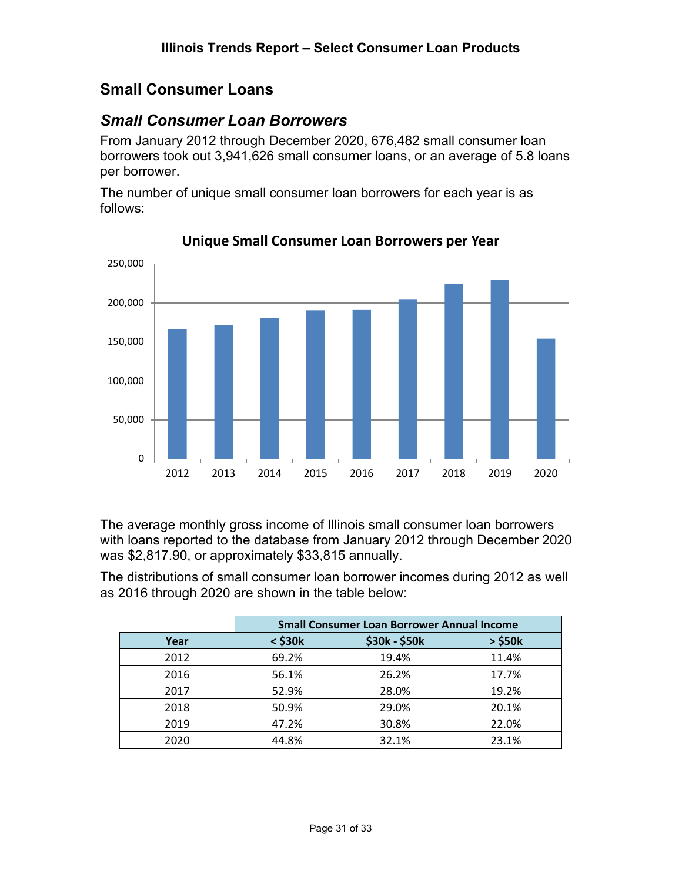# <span id="page-30-0"></span>**Small Consumer Loans**

# <span id="page-30-1"></span>*Small Consumer Loan Borrowers*

From January 2012 through December 2020, 676,482 small consumer loan borrowers took out 3,941,626 small consumer loans, or an average of 5.8 loans per borrower.

The number of unique small consumer loan borrowers for each year is as follows:



**Unique Small Consumer Loan Borrowers per Year**

The average monthly gross income of Illinois small consumer loan borrowers with loans reported to the database from January 2012 through December 2020 was \$2,817.90, or approximately \$33,815 annually.

The distributions of small consumer loan borrower incomes during 2012 as well as 2016 through 2020 are shown in the table below:

|      | <b>Small Consumer Loan Borrower Annual Income</b> |               |              |
|------|---------------------------------------------------|---------------|--------------|
| Year | $<$ \$30 $k$                                      | \$30k - \$50k | $>$ \$50 $k$ |
| 2012 | 69.2%                                             | 19.4%         | 11.4%        |
| 2016 | 56.1%                                             | 26.2%         | 17.7%        |
| 2017 | 52.9%                                             | 28.0%         | 19.2%        |
| 2018 | 50.9%                                             | 29.0%         | 20.1%        |
| 2019 | 47.2%                                             | 30.8%         | 22.0%        |
| 2020 | 44.8%                                             | 32.1%         | 23.1%        |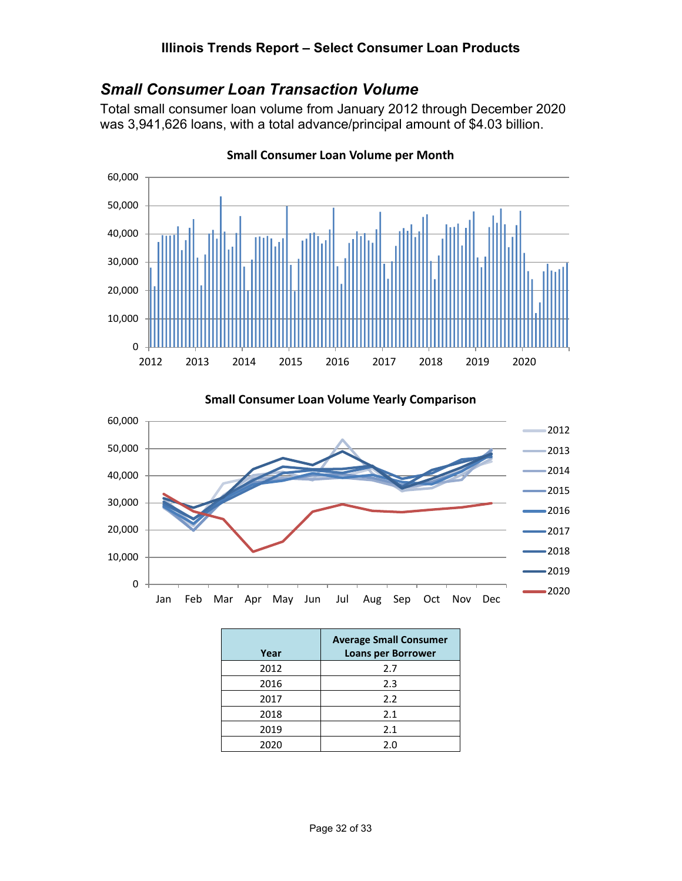# <span id="page-31-0"></span>*Small Consumer Loan Transaction Volume*

Total small consumer loan volume from January 2012 through December 2020 was 3,941,626 loans, with a total advance/principal amount of \$4.03 billion.



**Small Consumer Loan Volume per Month**

**Small Consumer Loan Volume Yearly Comparison**



| Year | <b>Average Small Consumer</b><br><b>Loans per Borrower</b> |
|------|------------------------------------------------------------|
| 2012 | 2.7                                                        |
| 2016 | 2.3                                                        |
| 2017 | 2.2                                                        |
| 2018 | 2.1                                                        |
| 2019 | 2.1                                                        |
| 2020 | 2.0                                                        |